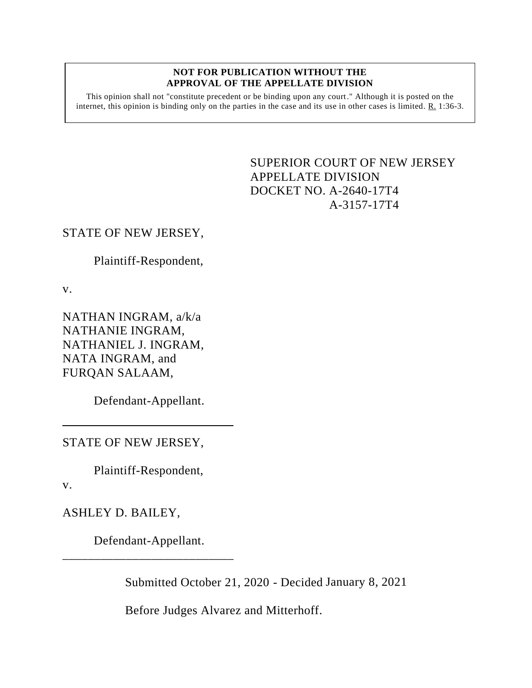#### **NOT FOR PUBLICATION WITHOUT THE APPROVAL OF THE APPELLATE DIVISION**

This opinion shall not "constitute precedent or be binding upon any court." Although it is posted on the internet, this opinion is binding only on the parties in the case and its use in other cases is limited. R. 1:36-3.

# <span id="page-0-0"></span>SUPERIOR COURT OF NEW JERSEY APPELLATE DIVISION DOCKET NO. A-2640-17T4 A-3157-17T4

# STATE OF NEW JERSEY,

Plaintiff-Respondent,

v.

NATHAN INGRAM, a/k/a NATHANIE INGRAM, NATHANIEL J. INGRAM, NATA INGRAM, and FURQAN SALAAM,

Defendant-Appellant.

STATE OF NEW JERSEY,

Plaintiff-Respondent,

v.

ASHLEY D. BAILEY,

Defendant-Appellant. \_\_\_\_\_\_\_\_\_\_\_\_\_\_\_\_\_\_\_\_\_\_\_\_\_\_\_

Submitted October 21, 2020 - Decided January 8, 2021

Before Judges Alvarez and Mitterhoff.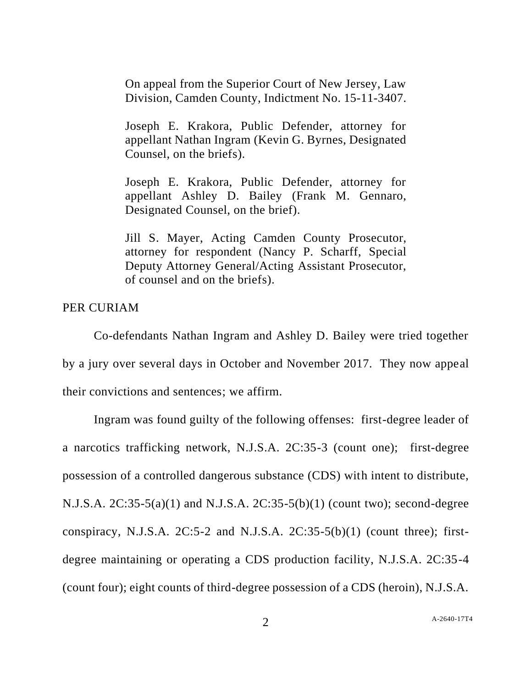On appeal from the Superior Court of New Jersey, Law Division, Camden County, Indictment No. 15-11-3407.

Joseph E. Krakora, Public Defender, attorney for appellant Nathan Ingram (Kevin G. Byrnes, Designated Counsel, on the briefs).

Joseph E. Krakora, Public Defender, attorney for appellant Ashley D. Bailey (Frank M. Gennaro, Designated Counsel, on the brief).

Jill S. Mayer, Acting Camden County Prosecutor, attorney for respondent (Nancy P. Scharff, Special Deputy Attorney General/Acting Assistant Prosecutor, of counsel and on the briefs).

PER CURIAM

Co-defendants Nathan Ingram and Ashley D. Bailey were tried together by a jury over several days in October and November 2017. They now appeal their convictions and sentences; we affirm.

Ingram was found guilty of the following offenses: first-degree leader of a narcotics trafficking network, N.J.S.A. 2C:35-3 (count one); first-degree possession of a controlled dangerous substance (CDS) with intent to distribute, N.J.S.A. 2C:35-5(a)(1) and N.J.S.A. 2C:35-5(b)(1) (count two); second-degree conspiracy, N.J.S.A.  $2C:5-2$  and N.J.S.A.  $2C:35-5(b)(1)$  (count three); firstdegree maintaining or operating a CDS production facility, N.J.S.A. 2C:35-4 (count four); eight counts of third-degree possession of a CDS (heroin), N.J.S.A.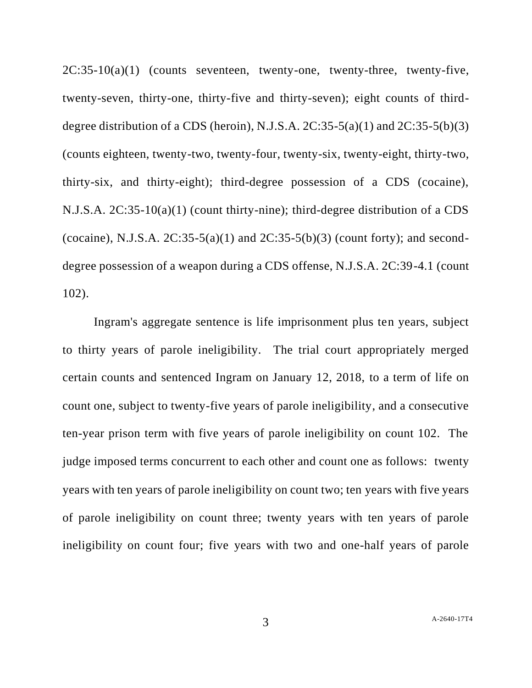$2C:35-10(a)(1)$  (counts seventeen, twenty-one, twenty-three, twenty-five, twenty-seven, thirty-one, thirty-five and thirty-seven); eight counts of thirddegree distribution of a CDS (heroin), N.J.S.A.  $2C:35-5(a)(1)$  and  $2C:35-5(b)(3)$ (counts eighteen, twenty-two, twenty-four, twenty-six, twenty-eight, thirty-two, thirty-six, and thirty-eight); third-degree possession of a CDS (cocaine), N.J.S.A. 2C:35-10(a)(1) (count thirty-nine); third-degree distribution of a CDS (cocaine), N.J.S.A.  $2C:35-5(a)(1)$  and  $2C:35-5(b)(3)$  (count forty); and seconddegree possession of a weapon during a CDS offense, N.J.S.A. 2C:39-4.1 (count 102).

Ingram's aggregate sentence is life imprisonment plus ten years, subject to thirty years of parole ineligibility. The trial court appropriately merged certain counts and sentenced Ingram on January 12, 2018, to a term of life on count one, subject to twenty-five years of parole ineligibility, and a consecutive ten-year prison term with five years of parole ineligibility on count 102. The judge imposed terms concurrent to each other and count one as follows: twenty years with ten years of parole ineligibility on count two; ten years with five years of parole ineligibility on count three; twenty years with ten years of parole ineligibility on count four; five years with two and one-half years of parole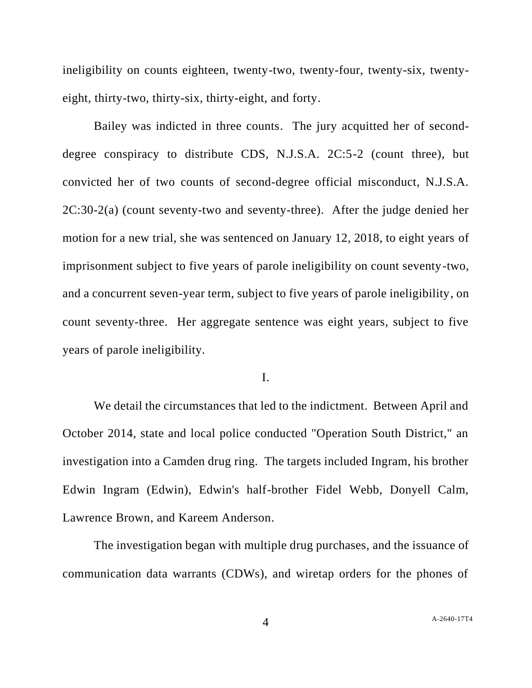ineligibility on counts eighteen, twenty-two, twenty-four, twenty-six, twentyeight, thirty-two, thirty-six, thirty-eight, and forty.

Bailey was indicted in three counts. The jury acquitted her of seconddegree conspiracy to distribute CDS, N.J.S.A. 2C:5-2 (count three), but convicted her of two counts of second-degree official misconduct, N.J.S.A. 2C:30-2(a) (count seventy-two and seventy-three). After the judge denied her motion for a new trial, she was sentenced on January 12, 2018, to eight years of imprisonment subject to five years of parole ineligibility on count seventy-two, and a concurrent seven-year term, subject to five years of parole ineligibility, on count seventy-three. Her aggregate sentence was eight years, subject to five years of parole ineligibility.

I.

We detail the circumstances that led to the indictment. Between April and October 2014, state and local police conducted "Operation South District," an investigation into a Camden drug ring. The targets included Ingram, his brother Edwin Ingram (Edwin), Edwin's half-brother Fidel Webb, Donyell Calm, Lawrence Brown, and Kareem Anderson.

The investigation began with multiple drug purchases, and the issuance of communication data warrants (CDWs), and wiretap orders for the phones of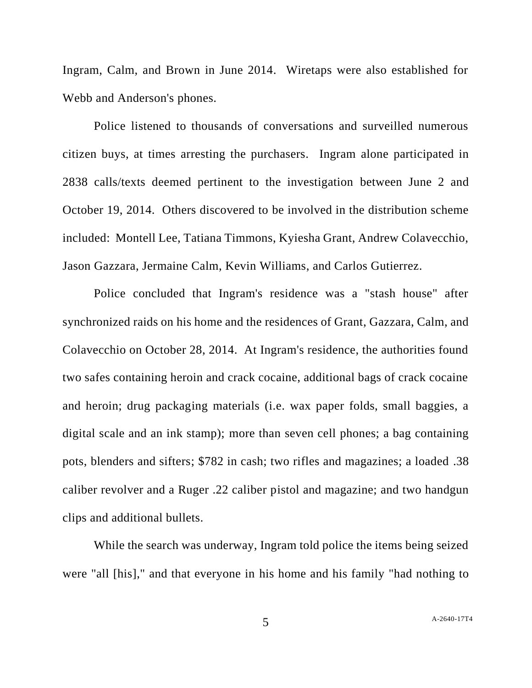Ingram, Calm, and Brown in June 2014. Wiretaps were also established for Webb and Anderson's phones.

Police listened to thousands of conversations and surveilled numerous citizen buys, at times arresting the purchasers. Ingram alone participated in 2838 calls/texts deemed pertinent to the investigation between June 2 and October 19, 2014. Others discovered to be involved in the distribution scheme included: Montell Lee, Tatiana Timmons, Kyiesha Grant, Andrew Colavecchio, Jason Gazzara, Jermaine Calm, Kevin Williams, and Carlos Gutierrez.

Police concluded that Ingram's residence was a "stash house" after synchronized raids on his home and the residences of Grant, Gazzara, Calm, and Colavecchio on October 28, 2014. At Ingram's residence, the authorities found two safes containing heroin and crack cocaine, additional bags of crack cocaine and heroin; drug packaging materials (i.e. wax paper folds, small baggies, a digital scale and an ink stamp); more than seven cell phones; a bag containing pots, blenders and sifters; \$782 in cash; two rifles and magazines; a loaded .38 caliber revolver and a Ruger .22 caliber pistol and magazine; and two handgun clips and additional bullets.

While the search was underway, Ingram told police the items being seized were "all [his]," and that everyone in his home and his family "had nothing to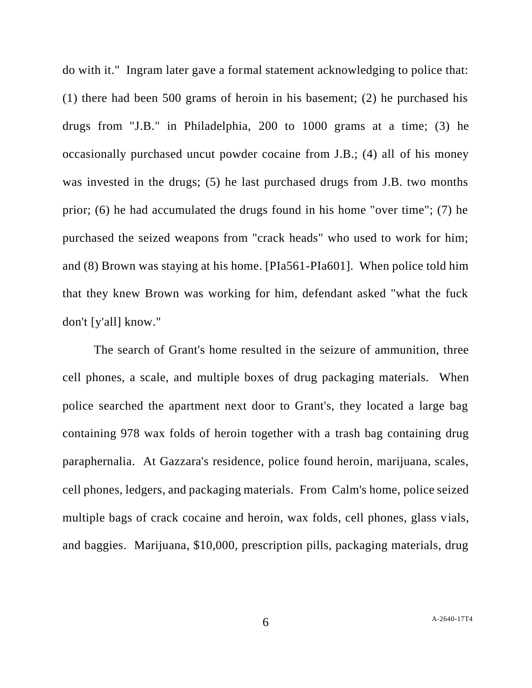do with it." Ingram later gave a formal statement acknowledging to police that: (1) there had been 500 grams of heroin in his basement; (2) he purchased his drugs from "J.B." in Philadelphia, 200 to 1000 grams at a time; (3) he occasionally purchased uncut powder cocaine from J.B.; (4) all of his money was invested in the drugs; (5) he last purchased drugs from J.B. two months prior; (6) he had accumulated the drugs found in his home "over time"; (7) he purchased the seized weapons from "crack heads" who used to work for him; and (8) Brown was staying at his home. [PIa561-PIa601]. When police told him that they knew Brown was working for him, defendant asked "what the fuck don't [y'all] know."

The search of Grant's home resulted in the seizure of ammunition, three cell phones, a scale, and multiple boxes of drug packaging materials. When police searched the apartment next door to Grant's, they located a large bag containing 978 wax folds of heroin together with a trash bag containing drug paraphernalia. At Gazzara's residence, police found heroin, marijuana, scales, cell phones, ledgers, and packaging materials. From Calm's home, police seized multiple bags of crack cocaine and heroin, wax folds, cell phones, glass vials, and baggies. Marijuana, \$10,000, prescription pills, packaging materials, drug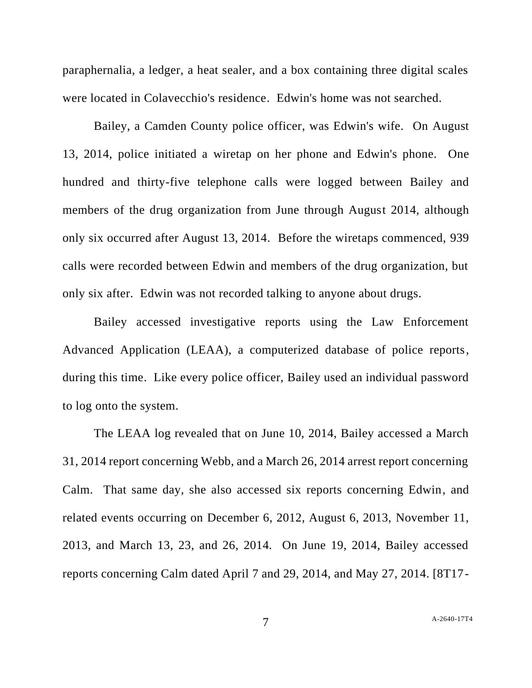paraphernalia, a ledger, a heat sealer, and a box containing three digital scales were located in Colavecchio's residence. Edwin's home was not searched.

Bailey, a Camden County police officer, was Edwin's wife. On August 13, 2014, police initiated a wiretap on her phone and Edwin's phone. One hundred and thirty-five telephone calls were logged between Bailey and members of the drug organization from June through August 2014, although only six occurred after August 13, 2014. Before the wiretaps commenced, 939 calls were recorded between Edwin and members of the drug organization, but only six after. Edwin was not recorded talking to anyone about drugs.

Bailey accessed investigative reports using the Law Enforcement Advanced Application (LEAA), a computerized database of police reports, during this time. Like every police officer, Bailey used an individual password to log onto the system.

The LEAA log revealed that on June 10, 2014, Bailey accessed a March 31, 2014 report concerning Webb, and a March 26, 2014 arrest report concerning Calm. That same day, she also accessed six reports concerning Edwin, and related events occurring on December 6, 2012, August 6, 2013, November 11, 2013, and March 13, 23, and 26, 2014. On June 19, 2014, Bailey accessed reports concerning Calm dated April 7 and 29, 2014, and May 27, 2014. [8T17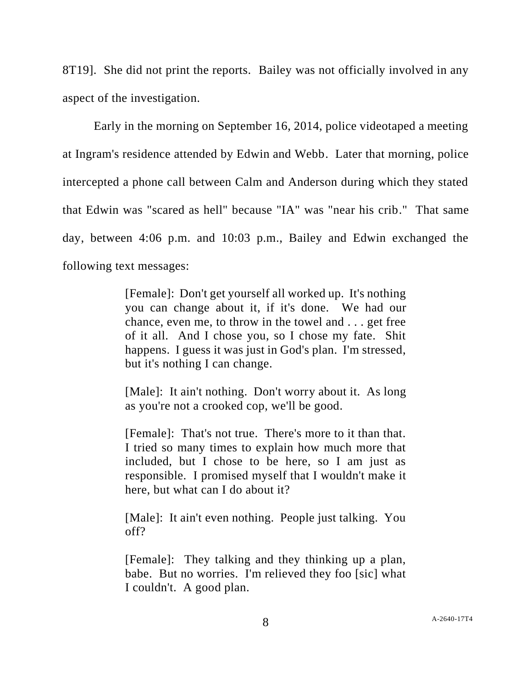8T19]. She did not print the reports. Bailey was not officially involved in any aspect of the investigation.

Early in the morning on September 16, 2014, police videotaped a meeting at Ingram's residence attended by Edwin and Webb. Later that morning, police intercepted a phone call between Calm and Anderson during which they stated that Edwin was "scared as hell" because "IA" was "near his crib." That same day, between 4:06 p.m. and 10:03 p.m., Bailey and Edwin exchanged the following text messages:

> [Female]: Don't get yourself all worked up. It's nothing you can change about it, if it's done. We had our chance, even me, to throw in the towel and . . . get free of it all. And I chose you, so I chose my fate. Shit happens. I guess it was just in God's plan. I'm stressed, but it's nothing I can change.

> [Male]: It ain't nothing. Don't worry about it. As long as you're not a crooked cop, we'll be good.

> [Female]: That's not true. There's more to it than that. I tried so many times to explain how much more that included, but I chose to be here, so I am just as responsible. I promised myself that I wouldn't make it here, but what can I do about it?

> [Male]: It ain't even nothing. People just talking. You off?

> [Female]: They talking and they thinking up a plan, babe. But no worries. I'm relieved they foo [sic] what I couldn't. A good plan.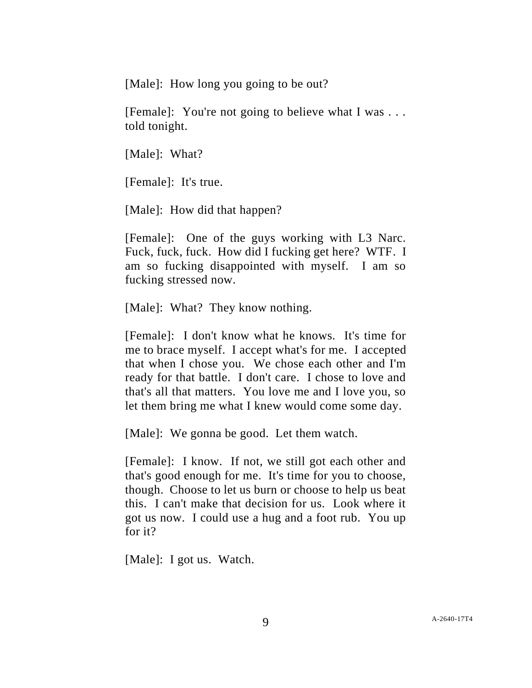[Male]: How long you going to be out?

[Female]: You're not going to believe what I was . . . told tonight.

[Male]: What?

[Female]: It's true.

[Male]: How did that happen?

[Female]: One of the guys working with L3 Narc. Fuck, fuck, fuck. How did I fucking get here? WTF. I am so fucking disappointed with myself. I am so fucking stressed now.

[Male]: What? They know nothing.

[Female]: I don't know what he knows. It's time for me to brace myself. I accept what's for me. I accepted that when I chose you. We chose each other and I'm ready for that battle. I don't care. I chose to love and that's all that matters. You love me and I love you, so let them bring me what I knew would come some day.

[Male]: We gonna be good. Let them watch.

[Female]: I know. If not, we still got each other and that's good enough for me. It's time for you to choose, though. Choose to let us burn or choose to help us beat this. I can't make that decision for us. Look where it got us now. I could use a hug and a foot rub. You up for it?

[Male]: I got us. Watch.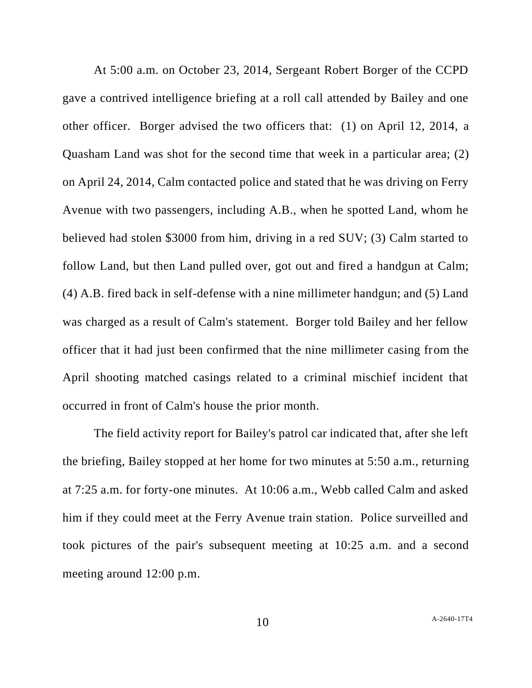At 5:00 a.m. on October 23, 2014, Sergeant Robert Borger of the CCPD gave a contrived intelligence briefing at a roll call attended by Bailey and one other officer. Borger advised the two officers that: (1) on April 12, 2014, a Quasham Land was shot for the second time that week in a particular area; (2) on April 24, 2014, Calm contacted police and stated that he was driving on Ferry Avenue with two passengers, including A.B., when he spotted Land, whom he believed had stolen \$3000 from him, driving in a red SUV; (3) Calm started to follow Land, but then Land pulled over, got out and fired a handgun at Calm; (4) A.B. fired back in self-defense with a nine millimeter handgun; and (5) Land was charged as a result of Calm's statement. Borger told Bailey and her fellow officer that it had just been confirmed that the nine millimeter casing from the April shooting matched casings related to a criminal mischief incident that occurred in front of Calm's house the prior month.

The field activity report for Bailey's patrol car indicated that, after she left the briefing, Bailey stopped at her home for two minutes at 5:50 a.m., returning at 7:25 a.m. for forty-one minutes. At 10:06 a.m., Webb called Calm and asked him if they could meet at the Ferry Avenue train station. Police surveilled and took pictures of the pair's subsequent meeting at 10:25 a.m. and a second meeting around 12:00 p.m.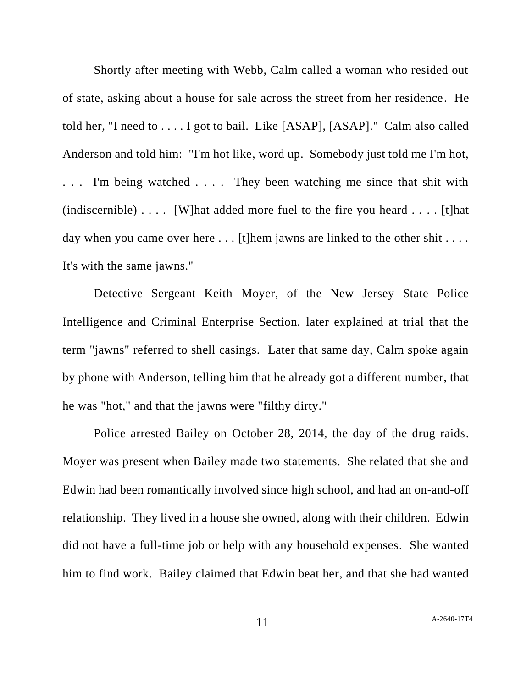Shortly after meeting with Webb, Calm called a woman who resided out of state, asking about a house for sale across the street from her residence. He told her, "I need to . . . . I got to bail. Like [ASAP], [ASAP]." Calm also called Anderson and told him: "I'm hot like, word up. Somebody just told me I'm hot, ... I'm being watched .... They been watching me since that shit with (indiscernible)  $\dots$  [W] hat added more fuel to the fire you heard  $\dots$ . [t] hat day when you came over here  $\dots$  [t] hem jawns are linked to the other shit  $\dots$ . It's with the same jawns."

Detective Sergeant Keith Moyer, of the New Jersey State Police Intelligence and Criminal Enterprise Section, later explained at trial that the term "jawns" referred to shell casings. Later that same day, Calm spoke again by phone with Anderson, telling him that he already got a different number, that he was "hot," and that the jawns were "filthy dirty."

Police arrested Bailey on October 28, 2014, the day of the drug raids. Moyer was present when Bailey made two statements. She related that she and Edwin had been romantically involved since high school, and had an on-and-off relationship. They lived in a house she owned, along with their children. Edwin did not have a full-time job or help with any household expenses. She wanted him to find work. Bailey claimed that Edwin beat her, and that she had wanted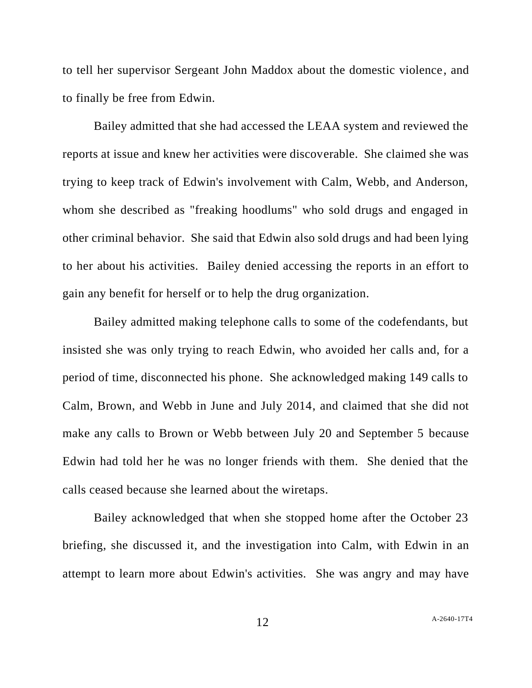to tell her supervisor Sergeant John Maddox about the domestic violence, and to finally be free from Edwin.

Bailey admitted that she had accessed the LEAA system and reviewed the reports at issue and knew her activities were discoverable. She claimed she was trying to keep track of Edwin's involvement with Calm, Webb, and Anderson, whom she described as "freaking hoodlums" who sold drugs and engaged in other criminal behavior. She said that Edwin also sold drugs and had been lying to her about his activities. Bailey denied accessing the reports in an effort to gain any benefit for herself or to help the drug organization.

Bailey admitted making telephone calls to some of the codefendants, but insisted she was only trying to reach Edwin, who avoided her calls and, for a period of time, disconnected his phone. She acknowledged making 149 calls to Calm, Brown, and Webb in June and July 2014, and claimed that she did not make any calls to Brown or Webb between July 20 and September 5 because Edwin had told her he was no longer friends with them. She denied that the calls ceased because she learned about the wiretaps.

Bailey acknowledged that when she stopped home after the October 23 briefing, she discussed it, and the investigation into Calm, with Edwin in an attempt to learn more about Edwin's activities. She was angry and may have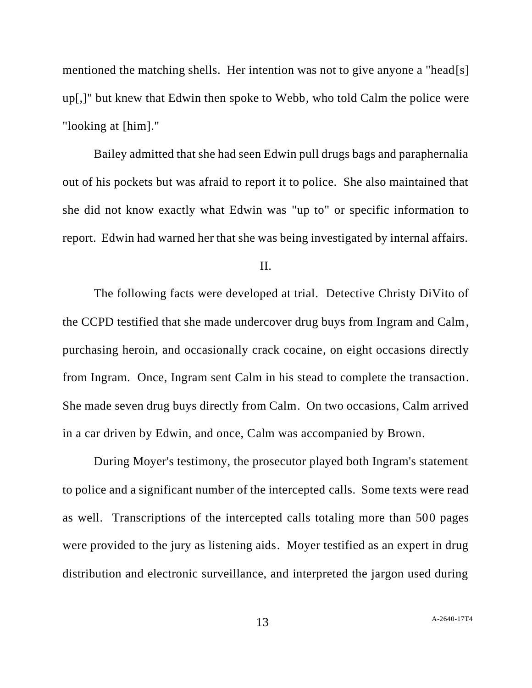mentioned the matching shells. Her intention was not to give anyone a "head[s] up[,]" but knew that Edwin then spoke to Webb, who told Calm the police were "looking at [him]."

Bailey admitted that she had seen Edwin pull drugs bags and paraphernalia out of his pockets but was afraid to report it to police. She also maintained that she did not know exactly what Edwin was "up to" or specific information to report. Edwin had warned her that she was being investigated by internal affairs.

II.

The following facts were developed at trial. Detective Christy DiVito of the CCPD testified that she made undercover drug buys from Ingram and Calm, purchasing heroin, and occasionally crack cocaine, on eight occasions directly from Ingram. Once, Ingram sent Calm in his stead to complete the transaction. She made seven drug buys directly from Calm. On two occasions, Calm arrived in a car driven by Edwin, and once, Calm was accompanied by Brown.

During Moyer's testimony, the prosecutor played both Ingram's statement to police and a significant number of the intercepted calls. Some texts were read as well. Transcriptions of the intercepted calls totaling more than 500 pages were provided to the jury as listening aids. Moyer testified as an expert in drug distribution and electronic surveillance, and interpreted the jargon used during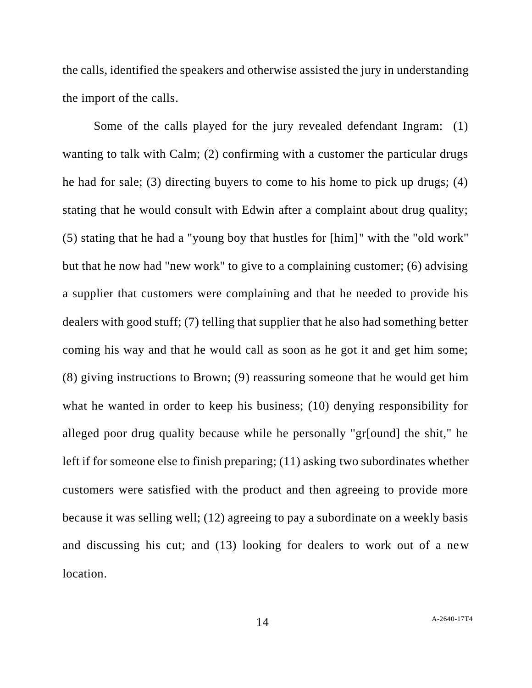the calls, identified the speakers and otherwise assisted the jury in understanding the import of the calls.

Some of the calls played for the jury revealed defendant Ingram: (1) wanting to talk with Calm; (2) confirming with a customer the particular drugs he had for sale; (3) directing buyers to come to his home to pick up drugs; (4) stating that he would consult with Edwin after a complaint about drug quality; (5) stating that he had a "young boy that hustles for [him]" with the "old work" but that he now had "new work" to give to a complaining customer; (6) advising a supplier that customers were complaining and that he needed to provide his dealers with good stuff; (7) telling that supplier that he also had something better coming his way and that he would call as soon as he got it and get him some; (8) giving instructions to Brown; (9) reassuring someone that he would get him what he wanted in order to keep his business; (10) denying responsibility for alleged poor drug quality because while he personally "gr[ound] the shit," he left if for someone else to finish preparing; (11) asking two subordinates whether customers were satisfied with the product and then agreeing to provide more because it was selling well; (12) agreeing to pay a subordinate on a weekly basis and discussing his cut; and (13) looking for dealers to work out of a new location.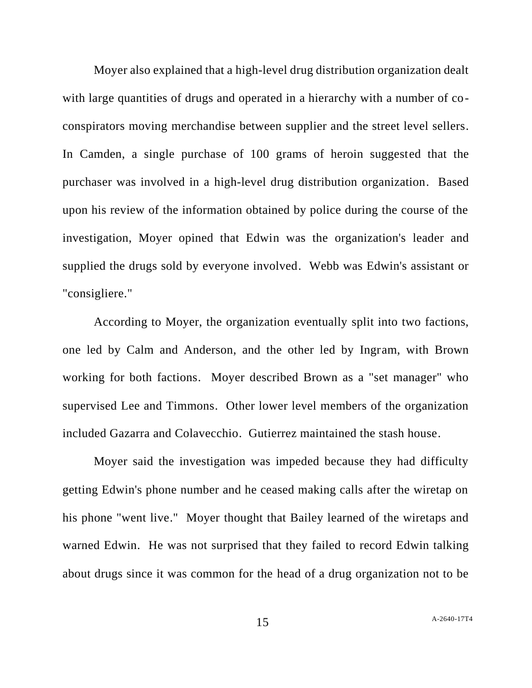Moyer also explained that a high-level drug distribution organization dealt with large quantities of drugs and operated in a hierarchy with a number of coconspirators moving merchandise between supplier and the street level sellers. In Camden, a single purchase of 100 grams of heroin suggested that the purchaser was involved in a high-level drug distribution organization. Based upon his review of the information obtained by police during the course of the investigation, Moyer opined that Edwin was the organization's leader and supplied the drugs sold by everyone involved. Webb was Edwin's assistant or "consigliere."

According to Moyer, the organization eventually split into two factions, one led by Calm and Anderson, and the other led by Ingram, with Brown working for both factions. Moyer described Brown as a "set manager" who supervised Lee and Timmons. Other lower level members of the organization included Gazarra and Colavecchio. Gutierrez maintained the stash house.

Moyer said the investigation was impeded because they had difficulty getting Edwin's phone number and he ceased making calls after the wiretap on his phone "went live." Moyer thought that Bailey learned of the wiretaps and warned Edwin. He was not surprised that they failed to record Edwin talking about drugs since it was common for the head of a drug organization not to be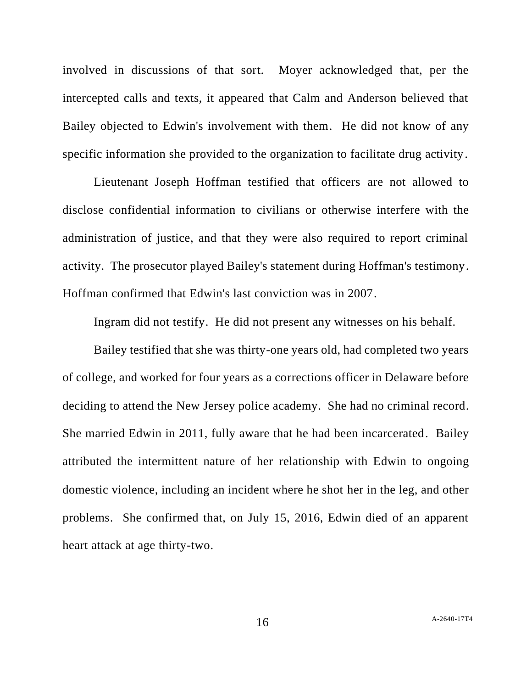involved in discussions of that sort. Moyer acknowledged that, per the intercepted calls and texts, it appeared that Calm and Anderson believed that Bailey objected to Edwin's involvement with them. He did not know of any specific information she provided to the organization to facilitate drug activity.

Lieutenant Joseph Hoffman testified that officers are not allowed to disclose confidential information to civilians or otherwise interfere with the administration of justice, and that they were also required to report criminal activity. The prosecutor played Bailey's statement during Hoffman's testimony. Hoffman confirmed that Edwin's last conviction was in 2007.

Ingram did not testify. He did not present any witnesses on his behalf.

Bailey testified that she was thirty-one years old, had completed two years of college, and worked for four years as a corrections officer in Delaware before deciding to attend the New Jersey police academy. She had no criminal record. She married Edwin in 2011, fully aware that he had been incarcerated. Bailey attributed the intermittent nature of her relationship with Edwin to ongoing domestic violence, including an incident where he shot her in the leg, and other problems. She confirmed that, on July 15, 2016, Edwin died of an apparent heart attack at age thirty-two.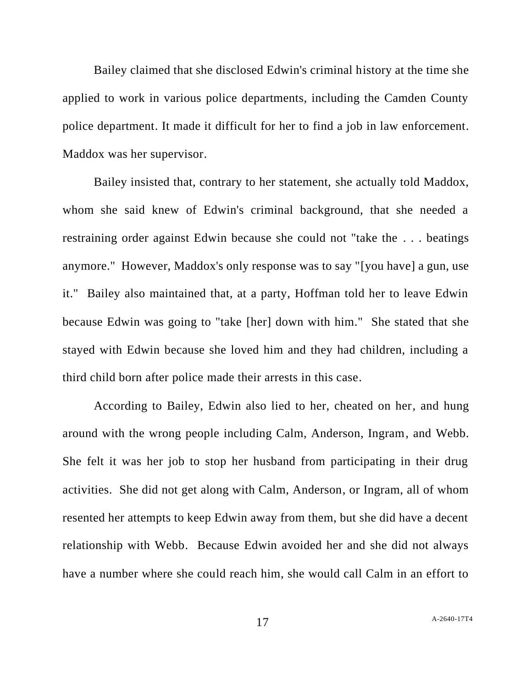Bailey claimed that she disclosed Edwin's criminal history at the time she applied to work in various police departments, including the Camden County police department. It made it difficult for her to find a job in law enforcement. Maddox was her supervisor.

Bailey insisted that, contrary to her statement, she actually told Maddox, whom she said knew of Edwin's criminal background, that she needed a restraining order against Edwin because she could not "take the . . . beatings anymore." However, Maddox's only response was to say "[you have] a gun, use it." Bailey also maintained that, at a party, Hoffman told her to leave Edwin because Edwin was going to "take [her] down with him." She stated that she stayed with Edwin because she loved him and they had children, including a third child born after police made their arrests in this case.

According to Bailey, Edwin also lied to her, cheated on her, and hung around with the wrong people including Calm, Anderson, Ingram, and Webb. She felt it was her job to stop her husband from participating in their drug activities. She did not get along with Calm, Anderson, or Ingram, all of whom resented her attempts to keep Edwin away from them, but she did have a decent relationship with Webb. Because Edwin avoided her and she did not always have a number where she could reach him, she would call Calm in an effort to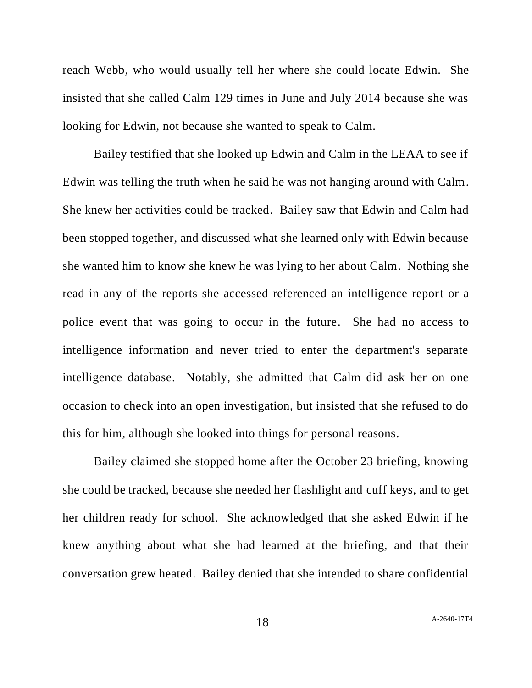reach Webb, who would usually tell her where she could locate Edwin. She insisted that she called Calm 129 times in June and July 2014 because she was looking for Edwin, not because she wanted to speak to Calm.

Bailey testified that she looked up Edwin and Calm in the LEAA to see if Edwin was telling the truth when he said he was not hanging around with Calm. She knew her activities could be tracked. Bailey saw that Edwin and Calm had been stopped together, and discussed what she learned only with Edwin because she wanted him to know she knew he was lying to her about Calm. Nothing she read in any of the reports she accessed referenced an intelligence report or a police event that was going to occur in the future. She had no access to intelligence information and never tried to enter the department's separate intelligence database. Notably, she admitted that Calm did ask her on one occasion to check into an open investigation, but insisted that she refused to do this for him, although she looked into things for personal reasons.

Bailey claimed she stopped home after the October 23 briefing, knowing she could be tracked, because she needed her flashlight and cuff keys, and to get her children ready for school. She acknowledged that she asked Edwin if he knew anything about what she had learned at the briefing, and that their conversation grew heated. Bailey denied that she intended to share confidential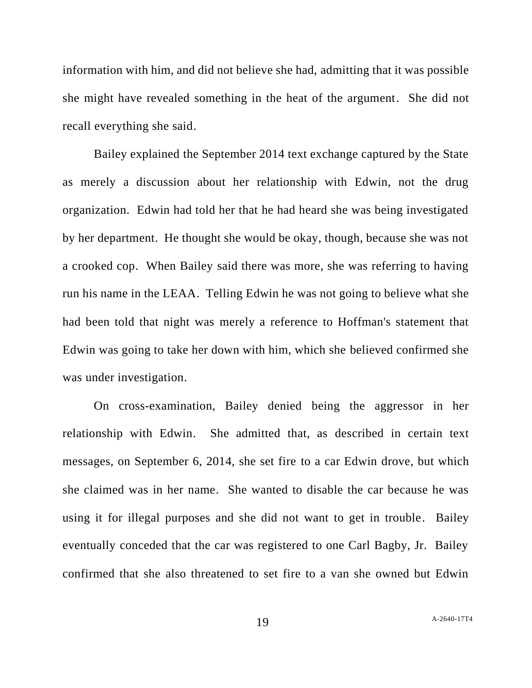information with him, and did not believe she had, admitting that it was possible she might have revealed something in the heat of the argument. She did not recall everything she said.

Bailey explained the September 2014 text exchange captured by the State as merely a discussion about her relationship with Edwin, not the drug organization. Edwin had told her that he had heard she was being investigated by her department. He thought she would be okay, though, because she was not a crooked cop. When Bailey said there was more, she was referring to having run his name in the LEAA. Telling Edwin he was not going to believe what she had been told that night was merely a reference to Hoffman's statement that Edwin was going to take her down with him, which she believed confirmed she was under investigation.

On cross-examination, Bailey denied being the aggressor in her relationship with Edwin. She admitted that, as described in certain text messages, on September 6, 2014, she set fire to a car Edwin drove, but which she claimed was in her name. She wanted to disable the car because he was using it for illegal purposes and she did not want to get in trouble. Bailey eventually conceded that the car was registered to one Carl Bagby, Jr. Bailey confirmed that she also threatened to set fire to a van she owned but Edwin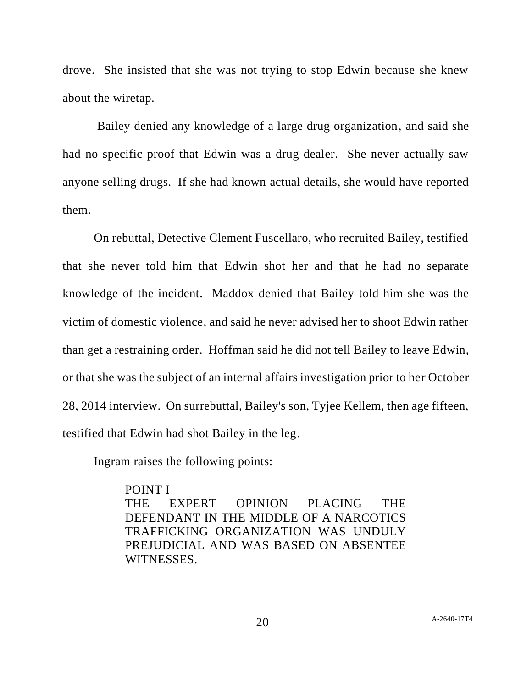drove. She insisted that she was not trying to stop Edwin because she knew about the wiretap.

Bailey denied any knowledge of a large drug organization, and said she had no specific proof that Edwin was a drug dealer. She never actually saw anyone selling drugs. If she had known actual details, she would have reported them.

On rebuttal, Detective Clement Fuscellaro, who recruited Bailey, testified that she never told him that Edwin shot her and that he had no separate knowledge of the incident. Maddox denied that Bailey told him she was the victim of domestic violence, and said he never advised her to shoot Edwin rather than get a restraining order. Hoffman said he did not tell Bailey to leave Edwin, or that she was the subject of an internal affairs investigation prior to her October 28, 2014 interview. On surrebuttal, Bailey's son, Tyjee Kellem, then age fifteen, testified that Edwin had shot Bailey in the leg.

Ingram raises the following points:

POINT I THE EXPERT OPINION PLACING THE DEFENDANT IN THE MIDDLE OF A NARCOTICS TRAFFICKING ORGANIZATION WAS UNDULY PREJUDICIAL AND WAS BASED ON ABSENTEE WITNESSES.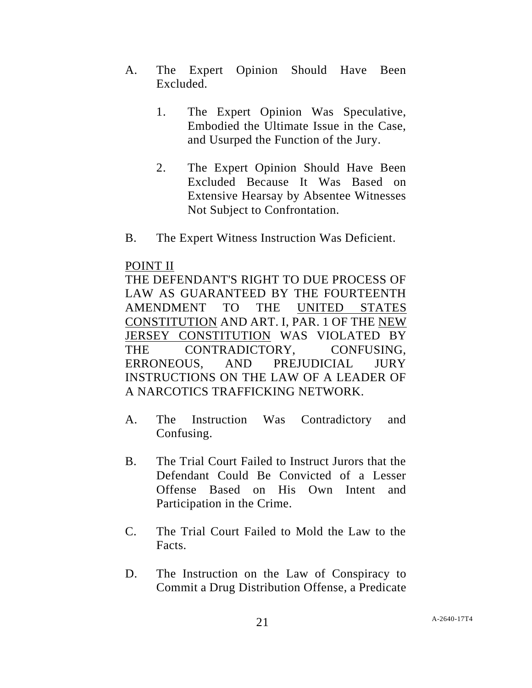- A. The Expert Opinion Should Have Been Excluded.
	- 1. The Expert Opinion Was Speculative, Embodied the Ultimate Issue in the Case, and Usurped the Function of the Jury.
	- 2. The Expert Opinion Should Have Been Excluded Because It Was Based on Extensive Hearsay by Absentee Witnesses Not Subject to Confrontation.
- B. The Expert Witness Instruction Was Deficient.

# POINT II

THE DEFENDANT'S RIGHT TO DUE PROCESS OF LAW AS GUARANTEED BY THE FOURTEENTH AMENDMENT TO THE UNITED STATES CONSTITUTION AND ART. I, PAR. 1 OF THE NEW JERSEY CONSTITUTION WAS VIOLATED BY THE CONTRADICTORY, CONFUSING, ERRONEOUS, AND PREJUDICIAL JURY INSTRUCTIONS ON THE LAW OF A LEADER OF A NARCOTICS TRAFFICKING NETWORK.

- A. The Instruction Was Contradictory and Confusing.
- B. The Trial Court Failed to Instruct Jurors that the Defendant Could Be Convicted of a Lesser Offense Based on His Own Intent and Participation in the Crime.
- C. The Trial Court Failed to Mold the Law to the Facts.
- D. The Instruction on the Law of Conspiracy to Commit a Drug Distribution Offense, a Predicate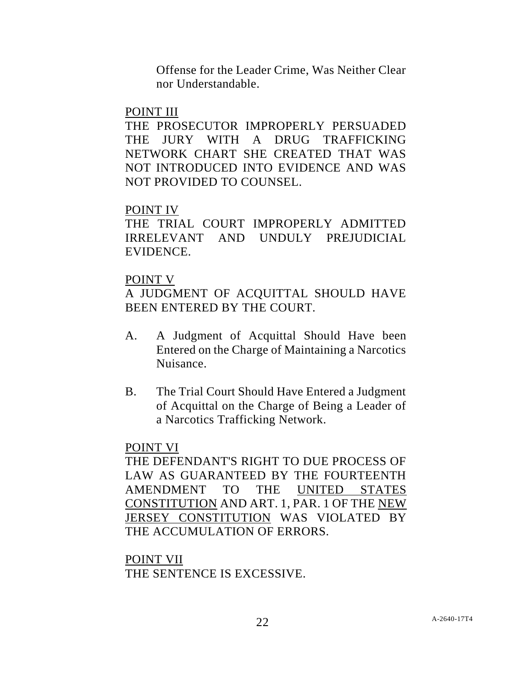Offense for the Leader Crime, Was Neither Clear nor Understandable.

### POINT III

THE PROSECUTOR IMPROPERLY PERSUADED THE JURY WITH A DRUG TRAFFICKING NETWORK CHART SHE CREATED THAT WAS NOT INTRODUCED INTO EVIDENCE AND WAS NOT PROVIDED TO COUNSEL.

# POINT IV

THE TRIAL COURT IMPROPERLY ADMITTED IRRELEVANT AND UNDULY PREJUDICIAL EVIDENCE.

# POINT V

A JUDGMENT OF ACQUITTAL SHOULD HAVE BEEN ENTERED BY THE COURT.

- A. A Judgment of Acquittal Should Have been Entered on the Charge of Maintaining a Narcotics Nuisance.
- B. The Trial Court Should Have Entered a Judgment of Acquittal on the Charge of Being a Leader of a Narcotics Trafficking Network.

# POINT VI

THE DEFENDANT'S RIGHT TO DUE PROCESS OF LAW AS GUARANTEED BY THE FOURTEENTH AMENDMENT TO THE UNITED STATES CONSTITUTION AND ART. 1, PAR. 1 OF THE NEW JERSEY CONSTITUTION WAS VIOLATED BY THE ACCUMULATION OF ERRORS.

## POINT VII

THE SENTENCE IS EXCESSIVE.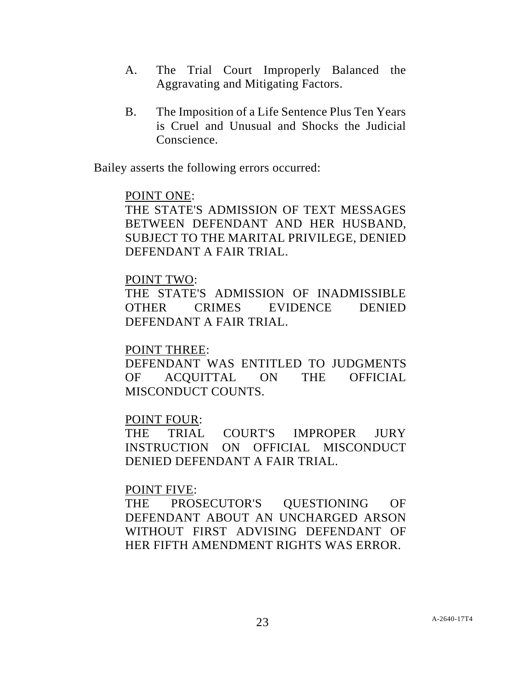- A. The Trial Court Improperly Balanced the Aggravating and Mitigating Factors.
- B. The Imposition of a Life Sentence Plus Ten Years is Cruel and Unusual and Shocks the Judicial Conscience.

Bailey asserts the following errors occurred:

## POINT ONE:

THE STATE'S ADMISSION OF TEXT MESSAGES BETWEEN DEFENDANT AND HER HUSBAND, SUBJECT TO THE MARITAL PRIVILEGE, DENIED DEFENDANT A FAIR TRIAL.

# POINT TWO:

THE STATE'S ADMISSION OF INADMISSIBLE OTHER CRIMES EVIDENCE DENIED DEFENDANT A FAIR TRIAL.

## POINT THREE:

DEFENDANT WAS ENTITLED TO JUDGMENTS OF ACQUITTAL ON THE OFFICIAL MISCONDUCT COUNTS.

## POINT FOUR:

THE TRIAL COURT'S IMPROPER JURY INSTRUCTION ON OFFICIAL MISCONDUCT DENIED DEFENDANT A FAIR TRIAL.

## POINT FIVE:

THE PROSECUTOR'S QUESTIONING OF DEFENDANT ABOUT AN UNCHARGED ARSON WITHOUT FIRST ADVISING DEFENDANT OF HER FIFTH AMENDMENT RIGHTS WAS ERROR.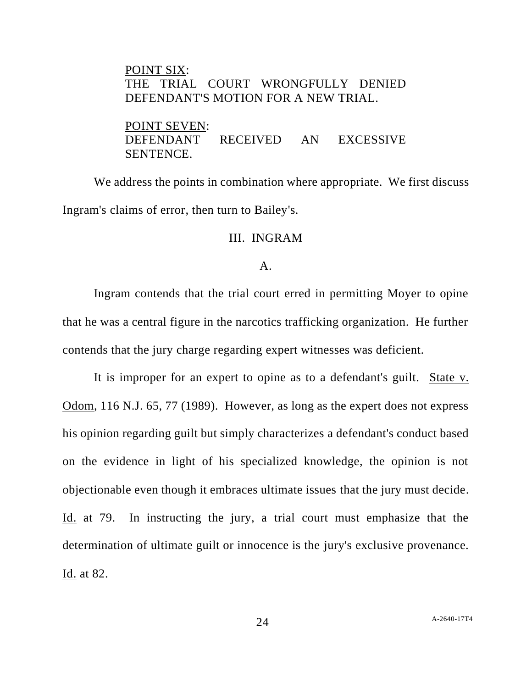# POINT SIX: THE TRIAL COURT WRONGFULLY DENIED DEFENDANT'S MOTION FOR A NEW TRIAL.

POINT SEVEN: DEFENDANT RECEIVED AN EXCESSIVE SENTENCE.

We address the points in combination where appropriate. We first discuss Ingram's claims of error, then turn to Bailey's.

### III. INGRAM

#### A.

Ingram contends that the trial court erred in permitting Moyer to opine that he was a central figure in the narcotics trafficking organization. He further contends that the jury charge regarding expert witnesses was deficient.

It is improper for an expert to opine as to a defendant's guilt. State v. Odom, 116 N.J. 65, 77 (1989). However, as long as the expert does not express his opinion regarding guilt but simply characterizes a defendant's conduct based on the evidence in light of his specialized knowledge, the opinion is not objectionable even though it embraces ultimate issues that the jury must decide. Id. at 79. In instructing the jury, a trial court must emphasize that the determination of ultimate guilt or innocence is the jury's exclusive provenance. Id. at 82.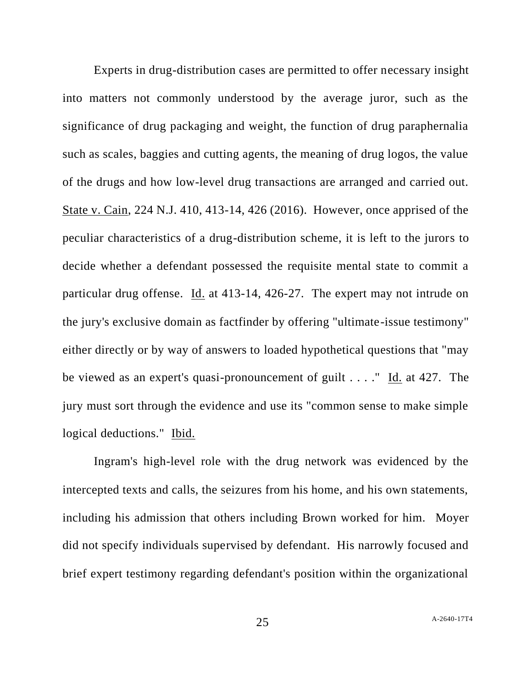Experts in drug-distribution cases are permitted to offer necessary insight into matters not commonly understood by the average juror, such as the significance of drug packaging and weight, the function of drug paraphernalia such as scales, baggies and cutting agents, the meaning of drug logos, the value of the drugs and how low-level drug transactions are arranged and carried out. State v. Cain, 224 N.J. 410, 413-14, 426 (2016). However, once apprised of the peculiar characteristics of a drug-distribution scheme, it is left to the jurors to decide whether a defendant possessed the requisite mental state to commit a particular drug offense. Id. at 413-14, 426-27. The expert may not intrude on the jury's exclusive domain as factfinder by offering "ultimate-issue testimony" either directly or by way of answers to loaded hypothetical questions that "may be viewed as an expert's quasi-pronouncement of guilt . . . ." Id. at 427. The jury must sort through the evidence and use its "common sense to make simple logical deductions." Ibid.

Ingram's high-level role with the drug network was evidenced by the intercepted texts and calls, the seizures from his home, and his own statements, including his admission that others including Brown worked for him. Moyer did not specify individuals supervised by defendant. His narrowly focused and brief expert testimony regarding defendant's position within the organizational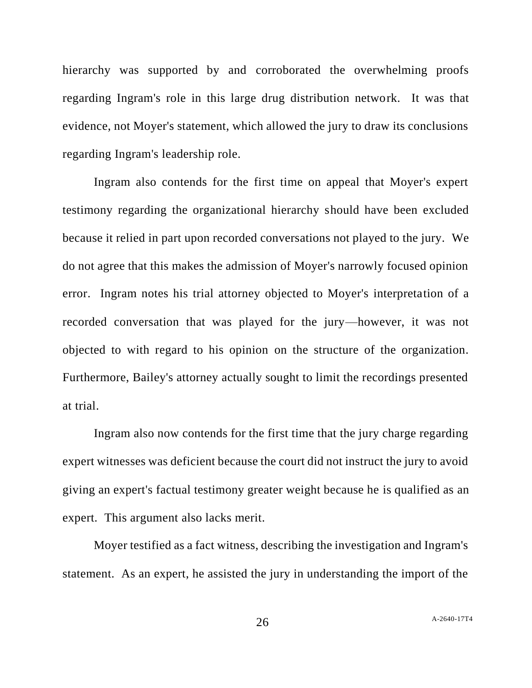hierarchy was supported by and corroborated the overwhelming proofs regarding Ingram's role in this large drug distribution network. It was that evidence, not Moyer's statement, which allowed the jury to draw its conclusions regarding Ingram's leadership role.

Ingram also contends for the first time on appeal that Moyer's expert testimony regarding the organizational hierarchy should have been excluded because it relied in part upon recorded conversations not played to the jury. We do not agree that this makes the admission of Moyer's narrowly focused opinion error. Ingram notes his trial attorney objected to Moyer's interpretation of a recorded conversation that was played for the jury—however, it was not objected to with regard to his opinion on the structure of the organization. Furthermore, Bailey's attorney actually sought to limit the recordings presented at trial.

Ingram also now contends for the first time that the jury charge regarding expert witnesses was deficient because the court did not instruct the jury to avoid giving an expert's factual testimony greater weight because he is qualified as an expert. This argument also lacks merit.

Moyer testified as a fact witness, describing the investigation and Ingram's statement. As an expert, he assisted the jury in understanding the import of the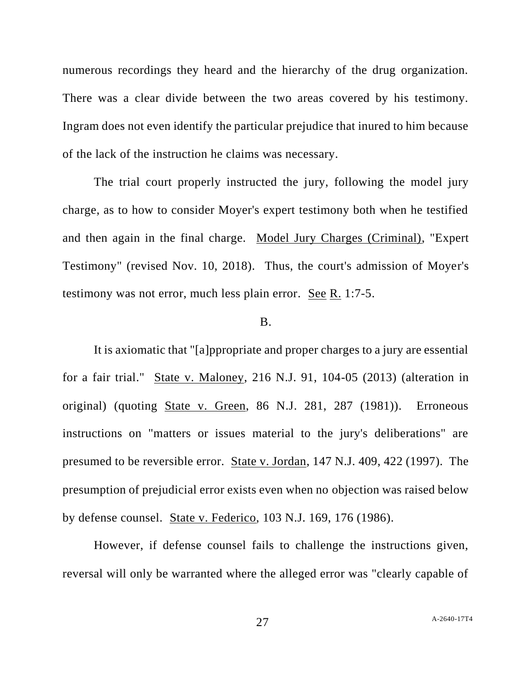numerous recordings they heard and the hierarchy of the drug organization. There was a clear divide between the two areas covered by his testimony. Ingram does not even identify the particular prejudice that inured to him because of the lack of the instruction he claims was necessary.

The trial court properly instructed the jury, following the model jury charge, as to how to consider Moyer's expert testimony both when he testified and then again in the final charge. Model Jury Charges (Criminal), "Expert Testimony" (revised Nov. 10, 2018). Thus, the court's admission of Moyer's testimony was not error, much less plain error. See R. 1:7-5.

#### B.

It is axiomatic that "[a]ppropriate and proper charges to a jury are essential for a fair trial." State v. Maloney, 216 N.J. 91, 104-05 (2013) (alteration in original) (quoting State v. Green, 86 N.J. 281, 287 (1981)). Erroneous instructions on "matters or issues material to the jury's deliberations" are presumed to be reversible error. State v. Jordan, 147 N.J. 409, 422 (1997). The presumption of prejudicial error exists even when no objection was raised below by defense counsel. State v. Federico, 103 N.J. 169, 176 (1986).

However, if defense counsel fails to challenge the instructions given, reversal will only be warranted where the alleged error was "clearly capable of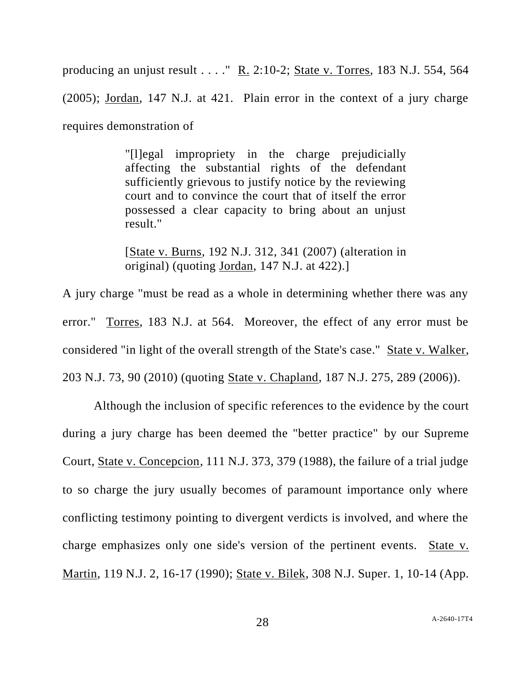producing an unjust result  $\dots$ ." R. 2:10-2; State v. Torres, 183 N.J. 554, 564 (2005); Jordan, 147 N.J. at 421. Plain error in the context of a jury charge requires demonstration of

> "[l]egal impropriety in the charge prejudicially affecting the substantial rights of the defendant sufficiently grievous to justify notice by the reviewing court and to convince the court that of itself the error possessed a clear capacity to bring about an unjust result."

> [State v. Burns, 192 N.J. 312, 341 (2007) (alteration in original) (quoting Jordan, 147 N.J. at 422).]

A jury charge "must be read as a whole in determining whether there was any error." Torres, 183 N.J. at 564. Moreover, the effect of any error must be considered "in light of the overall strength of the State's case." State v. Walker, 203 N.J. 73, 90 (2010) (quoting State v. Chapland, 187 N.J. 275, 289 (2006)).

Although the inclusion of specific references to the evidence by the court during a jury charge has been deemed the "better practice" by our Supreme Court, State v. Concepcion, 111 N.J. 373, 379 (1988), the failure of a trial judge to so charge the jury usually becomes of paramount importance only where conflicting testimony pointing to divergent verdicts is involved, and where the charge emphasizes only one side's version of the pertinent events. State v. Martin, 119 N.J. 2, 16-17 (1990); State v. Bilek, 308 N.J. Super. 1, 10-14 (App.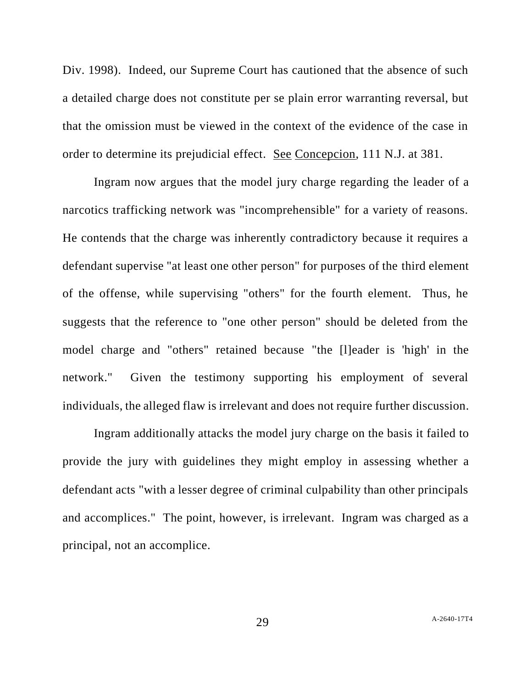Div. 1998). Indeed, our Supreme Court has cautioned that the absence of such a detailed charge does not constitute per se plain error warranting reversal, but that the omission must be viewed in the context of the evidence of the case in order to determine its prejudicial effect. See Concepcion, 111 N.J. at 381.

Ingram now argues that the model jury charge regarding the leader of a narcotics trafficking network was "incomprehensible" for a variety of reasons. He contends that the charge was inherently contradictory because it requires a defendant supervise "at least one other person" for purposes of the third element of the offense, while supervising "others" for the fourth element. Thus, he suggests that the reference to "one other person" should be deleted from the model charge and "others" retained because "the [l]eader is 'high' in the network." Given the testimony supporting his employment of several individuals, the alleged flaw is irrelevant and does not require further discussion.

Ingram additionally attacks the model jury charge on the basis it failed to provide the jury with guidelines they might employ in assessing whether a defendant acts "with a lesser degree of criminal culpability than other principals and accomplices." The point, however, is irrelevant. Ingram was charged as a principal, not an accomplice.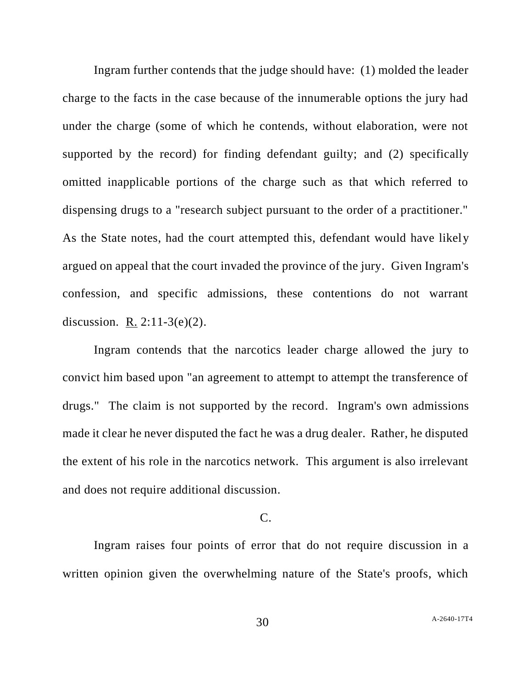Ingram further contends that the judge should have: (1) molded the leader charge to the facts in the case because of the innumerable options the jury had under the charge (some of which he contends, without elaboration, were not supported by the record) for finding defendant guilty; and (2) specifically omitted inapplicable portions of the charge such as that which referred to dispensing drugs to a "research subject pursuant to the order of a practitioner." As the State notes, had the court attempted this, defendant would have likely argued on appeal that the court invaded the province of the jury. Given Ingram's confession, and specific admissions, these contentions do not warrant discussion. R. 2:11-3(e)(2).

Ingram contends that the narcotics leader charge allowed the jury to convict him based upon "an agreement to attempt to attempt the transference of drugs." The claim is not supported by the record. Ingram's own admissions made it clear he never disputed the fact he was a drug dealer. Rather, he disputed the extent of his role in the narcotics network. This argument is also irrelevant and does not require additional discussion.

## $C_{\cdot}$

Ingram raises four points of error that do not require discussion in a written opinion given the overwhelming nature of the State's proofs, which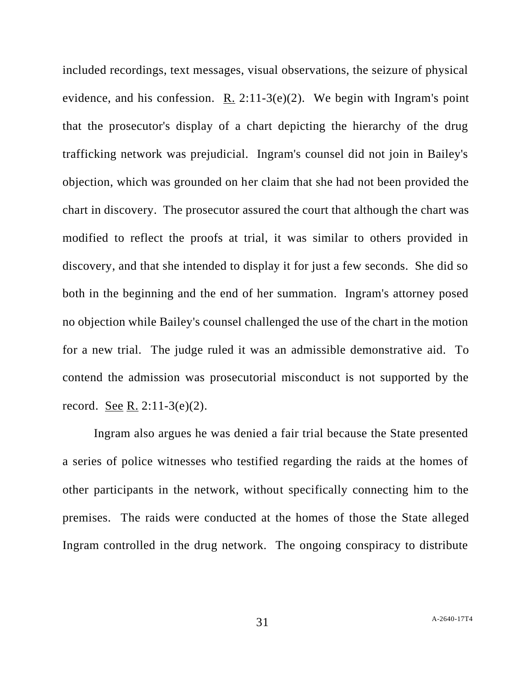included recordings, text messages, visual observations, the seizure of physical evidence, and his confession. R.  $2:11-3(e)(2)$ . We begin with Ingram's point that the prosecutor's display of a chart depicting the hierarchy of the drug trafficking network was prejudicial. Ingram's counsel did not join in Bailey's objection, which was grounded on her claim that she had not been provided the chart in discovery. The prosecutor assured the court that although the chart was modified to reflect the proofs at trial, it was similar to others provided in discovery, and that she intended to display it for just a few seconds. She did so both in the beginning and the end of her summation. Ingram's attorney posed no objection while Bailey's counsel challenged the use of the chart in the motion for a new trial. The judge ruled it was an admissible demonstrative aid. To contend the admission was prosecutorial misconduct is not supported by the record. See R. 2:11-3(e)(2).

Ingram also argues he was denied a fair trial because the State presented a series of police witnesses who testified regarding the raids at the homes of other participants in the network, without specifically connecting him to the premises. The raids were conducted at the homes of those the State alleged Ingram controlled in the drug network. The ongoing conspiracy to distribute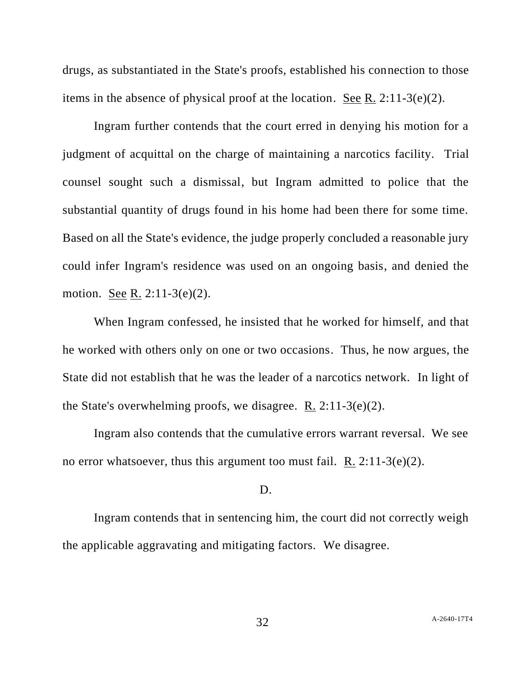drugs, as substantiated in the State's proofs, established his connection to those items in the absence of physical proof at the location. See R. 2:11-3(e)(2).

Ingram further contends that the court erred in denying his motion for a judgment of acquittal on the charge of maintaining a narcotics facility. Trial counsel sought such a dismissal, but Ingram admitted to police that the substantial quantity of drugs found in his home had been there for some time. Based on all the State's evidence, the judge properly concluded a reasonable jury could infer Ingram's residence was used on an ongoing basis, and denied the motion. See R. 2:11-3(e)(2).

When Ingram confessed, he insisted that he worked for himself, and that he worked with others only on one or two occasions. Thus, he now argues, the State did not establish that he was the leader of a narcotics network. In light of the State's overwhelming proofs, we disagree.  $R$ . 2:11-3(e)(2).

Ingram also contends that the cumulative errors warrant reversal. We see no error whatsoever, thus this argument too must fail. R.  $2:11-3(e)(2)$ .

#### D.

Ingram contends that in sentencing him, the court did not correctly weigh the applicable aggravating and mitigating factors. We disagree.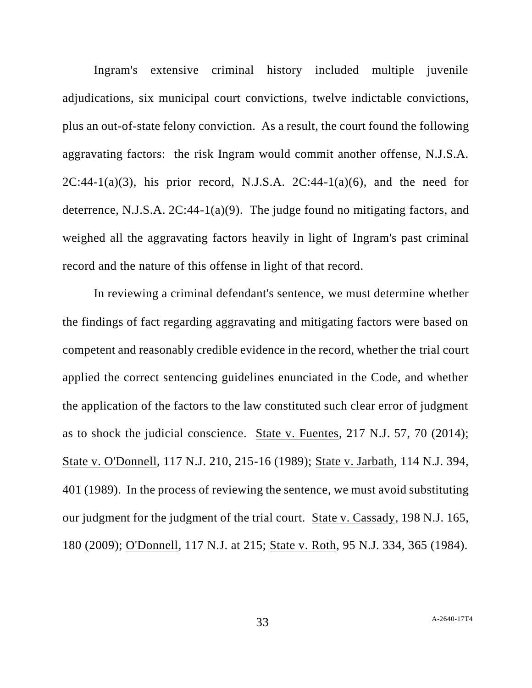Ingram's extensive criminal history included multiple juvenile adjudications, six municipal court convictions, twelve indictable convictions, plus an out-of-state felony conviction. As a result, the court found the following aggravating factors: the risk Ingram would commit another offense, N.J.S.A.  $2C:44-1(a)(3)$ , his prior record, N.J.S.A.  $2C:44-1(a)(6)$ , and the need for deterrence, N.J.S.A. 2C:44-1(a)(9). The judge found no mitigating factors, and weighed all the aggravating factors heavily in light of Ingram's past criminal record and the nature of this offense in light of that record.

In reviewing a criminal defendant's sentence, we must determine whether the findings of fact regarding aggravating and mitigating factors were based on competent and reasonably credible evidence in the record, whether the trial court applied the correct sentencing guidelines enunciated in the Code, and whether the application of the factors to the law constituted such clear error of judgment as to shock the judicial conscience. State v. Fuentes, 217 N.J. 57, 70 (2014); State v. O'Donnell, 117 N.J. 210, 215-16 (1989); State v. Jarbath, 114 N.J. 394, 401 (1989). In the process of reviewing the sentence, we must avoid substituting our judgment for the judgment of the trial court. State v. Cassady, 198 N.J. 165, 180 (2009); O'Donnell, 117 N.J. at 215; State v. Roth, 95 N.J. 334, 365 (1984).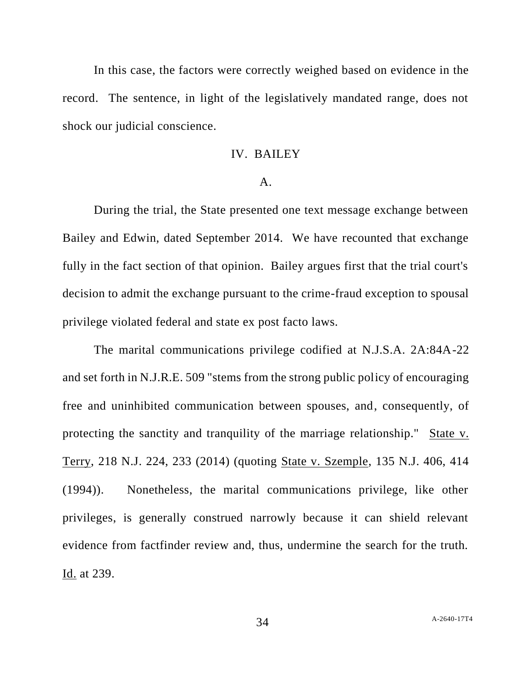In this case, the factors were correctly weighed based on evidence in the record. The sentence, in light of the legislatively mandated range, does not shock our judicial conscience.

### IV. BAILEY

#### A.

During the trial, the State presented one text message exchange between Bailey and Edwin, dated September 2014. We have recounted that exchange fully in the fact section of that opinion. Bailey argues first that the trial court's decision to admit the exchange pursuant to the crime-fraud exception to spousal privilege violated federal and state ex post facto laws.

The marital communications privilege codified at N.J.S.A. 2A:84A-22 and set forth in N.J.R.E. 509 "stems from the strong public policy of encouraging free and uninhibited communication between spouses, and, consequently, of protecting the sanctity and tranquility of the marriage relationship." State v. Terry, 218 N.J. 224, 233 (2014) (quoting State v. Szemple, 135 N.J. 406, 414 (1994)). Nonetheless, the marital communications privilege, like other privileges, is generally construed narrowly because it can shield relevant evidence from factfinder review and, thus, undermine the search for the truth. Id. at 239.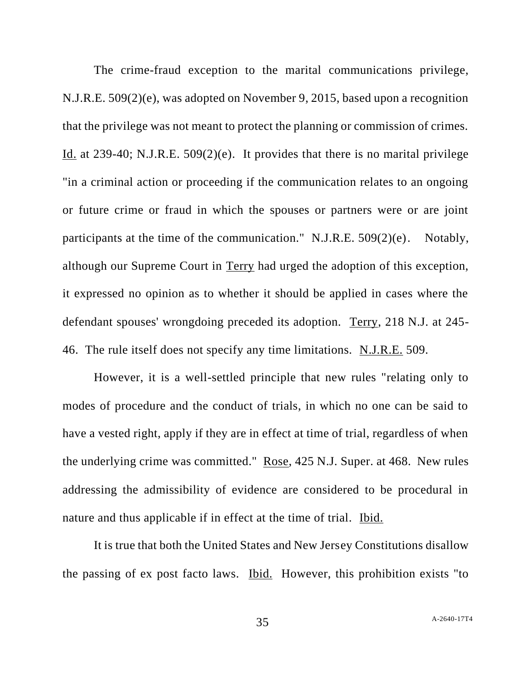The crime-fraud exception to the marital communications privilege, N.J.R.E. 509(2)(e), was adopted on November 9, 2015, based upon a recognition that the privilege was not meant to protect the planning or commission of crimes. Id. at 239-40; N.J.R.E. 509(2)(e). It provides that there is no marital privilege "in a criminal action or proceeding if the communication relates to an ongoing or future crime or fraud in which the spouses or partners were or are joint participants at the time of the communication." N.J.R.E. 509(2)(e). Notably, although our Supreme Court in Terry had urged the adoption of this exception, it expressed no opinion as to whether it should be applied in cases where the defendant spouses' wrongdoing preceded its adoption. Terry, 218 N.J. at 245- 46. The rule itself does not specify any time limitations. N.J.R.E. 509.

However, it is a well-settled principle that new rules "relating only to modes of procedure and the conduct of trials, in which no one can be said to have a vested right, apply if they are in effect at time of trial, regardless of when the underlying crime was committed." Rose, 425 N.J. Super. at 468. New rules addressing the admissibility of evidence are considered to be procedural in nature and thus applicable if in effect at the time of trial. Ibid.

It is true that both the United States and New Jersey Constitutions disallow the passing of ex post facto laws. Ibid. However, this prohibition exists "to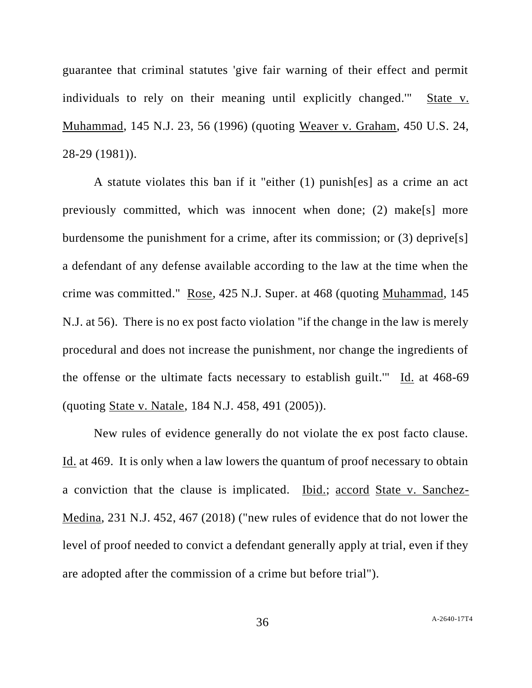guarantee that criminal statutes 'give fair warning of their effect and permit individuals to rely on their meaning until explicitly changed.'" State v. Muhammad, 145 N.J. 23, 56 (1996) (quoting Weaver v. Graham, 450 U.S. 24, 28-29 (1981)).

A statute violates this ban if it "either (1) punish[es] as a crime an act previously committed, which was innocent when done; (2) make[s] more burdensome the punishment for a crime, after its commission; or (3) deprive[s] a defendant of any defense available according to the law at the time when the crime was committed." Rose, 425 N.J. Super. at 468 (quoting Muhammad, 145 N.J. at 56). There is no ex post facto violation "if the change in the law is merely procedural and does not increase the punishment, nor change the ingredients of the offense or the ultimate facts necessary to establish guilt.'" Id. at 468-69 (quoting State v. Natale, 184 N.J. 458, 491 (2005)).

New rules of evidence generally do not violate the ex post facto clause. Id. at 469. It is only when a law lowers the quantum of proof necessary to obtain a conviction that the clause is implicated. Ibid.; accord State v. Sanchez-Medina, 231 N.J. 452, 467 (2018) ("new rules of evidence that do not lower the level of proof needed to convict a defendant generally apply at trial, even if they are adopted after the commission of a crime but before trial").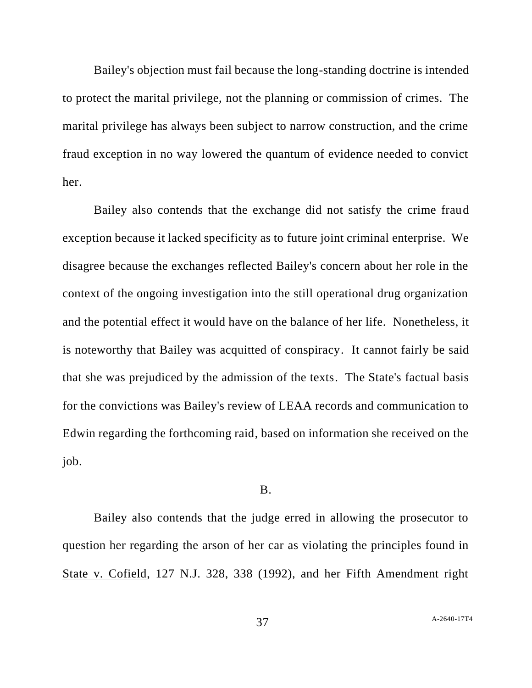Bailey's objection must fail because the long-standing doctrine is intended to protect the marital privilege, not the planning or commission of crimes. The marital privilege has always been subject to narrow construction, and the crime fraud exception in no way lowered the quantum of evidence needed to convict her.

Bailey also contends that the exchange did not satisfy the crime fraud exception because it lacked specificity as to future joint criminal enterprise. We disagree because the exchanges reflected Bailey's concern about her role in the context of the ongoing investigation into the still operational drug organization and the potential effect it would have on the balance of her life. Nonetheless, it is noteworthy that Bailey was acquitted of conspiracy. It cannot fairly be said that she was prejudiced by the admission of the texts. The State's factual basis for the convictions was Bailey's review of LEAA records and communication to Edwin regarding the forthcoming raid, based on information she received on the job.

#### B.

Bailey also contends that the judge erred in allowing the prosecutor to question her regarding the arson of her car as violating the principles found in State v. Cofield, 127 N.J. 328, 338 (1992), and her Fifth Amendment right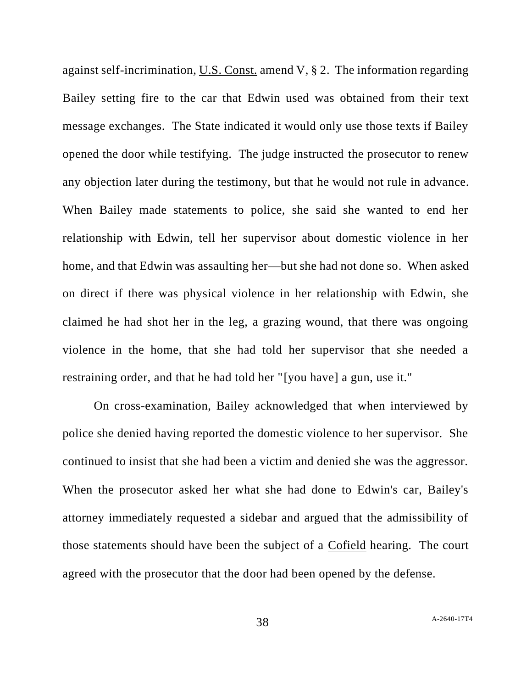against self-incrimination, U.S. Const. amend V, § 2. The information regarding Bailey setting fire to the car that Edwin used was obtained from their text message exchanges. The State indicated it would only use those texts if Bailey opened the door while testifying. The judge instructed the prosecutor to renew any objection later during the testimony, but that he would not rule in advance. When Bailey made statements to police, she said she wanted to end her relationship with Edwin, tell her supervisor about domestic violence in her home, and that Edwin was assaulting her—but she had not done so. When asked on direct if there was physical violence in her relationship with Edwin, she claimed he had shot her in the leg, a grazing wound, that there was ongoing violence in the home, that she had told her supervisor that she needed a restraining order, and that he had told her "[you have] a gun, use it."

On cross-examination, Bailey acknowledged that when interviewed by police she denied having reported the domestic violence to her supervisor. She continued to insist that she had been a victim and denied she was the aggressor. When the prosecutor asked her what she had done to Edwin's car, Bailey's attorney immediately requested a sidebar and argued that the admissibility of those statements should have been the subject of a Cofield hearing. The court agreed with the prosecutor that the door had been opened by the defense.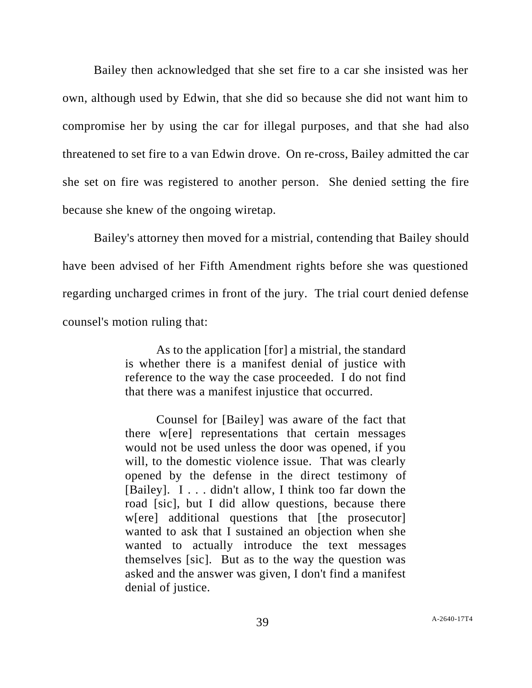Bailey then acknowledged that she set fire to a car she insisted was her own, although used by Edwin, that she did so because she did not want him to compromise her by using the car for illegal purposes, and that she had also threatened to set fire to a van Edwin drove. On re-cross, Bailey admitted the car she set on fire was registered to another person. She denied setting the fire because she knew of the ongoing wiretap.

Bailey's attorney then moved for a mistrial, contending that Bailey should have been advised of her Fifth Amendment rights before she was questioned regarding uncharged crimes in front of the jury. The trial court denied defense counsel's motion ruling that:

> As to the application [for] a mistrial, the standard is whether there is a manifest denial of justice with reference to the way the case proceeded. I do not find that there was a manifest injustice that occurred.

> Counsel for [Bailey] was aware of the fact that there w[ere] representations that certain messages would not be used unless the door was opened, if you will, to the domestic violence issue. That was clearly opened by the defense in the direct testimony of [Bailey]. I . . . didn't allow, I think too far down the road [sic], but I did allow questions, because there w[ere] additional questions that [the prosecutor] wanted to ask that I sustained an objection when she wanted to actually introduce the text messages themselves [sic]. But as to the way the question was asked and the answer was given, I don't find a manifest denial of justice.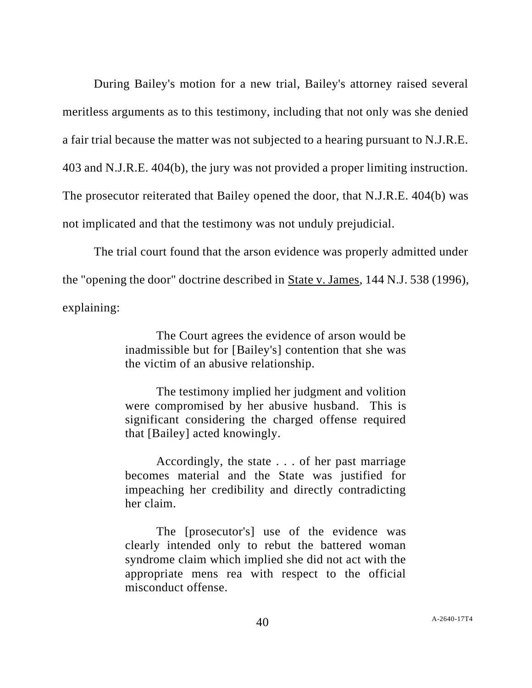During Bailey's motion for a new trial, Bailey's attorney raised several meritless arguments as to this testimony, including that not only was she denied a fair trial because the matter was not subjected to a hearing pursuant to N.J.R.E. 403 and N.J.R.E. 404(b), the jury was not provided a proper limiting instruction. The prosecutor reiterated that Bailey opened the door, that N.J.R.E. 404(b) was not implicated and that the testimony was not unduly prejudicial.

The trial court found that the arson evidence was properly admitted under the "opening the door" doctrine described in State v. James, 144 N.J. 538 (1996), explaining:

> The Court agrees the evidence of arson would be inadmissible but for [Bailey's] contention that she was the victim of an abusive relationship.

> The testimony implied her judgment and volition were compromised by her abusive husband. This is significant considering the charged offense required that [Bailey] acted knowingly.

> Accordingly, the state . . . of her past marriage becomes material and the State was justified for impeaching her credibility and directly contradicting her claim.

> The [prosecutor's] use of the evidence was clearly intended only to rebut the battered woman syndrome claim which implied she did not act with the appropriate mens rea with respect to the official misconduct offense.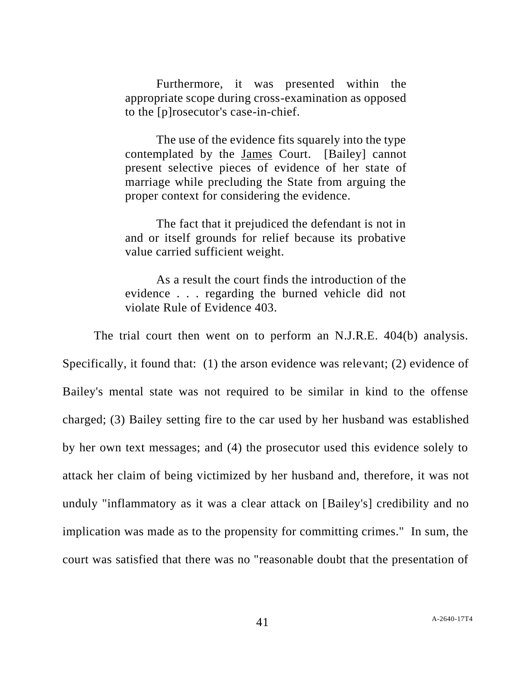Furthermore, it was presented within the appropriate scope during cross-examination as opposed to the [p]rosecutor's case-in-chief.

The use of the evidence fits squarely into the type contemplated by the James Court. [Bailey] cannot present selective pieces of evidence of her state of marriage while precluding the State from arguing the proper context for considering the evidence.

The fact that it prejudiced the defendant is not in and or itself grounds for relief because its probative value carried sufficient weight.

As a result the court finds the introduction of the evidence . . . regarding the burned vehicle did not violate Rule of Evidence 403.

The trial court then went on to perform an N.J.R.E. 404(b) analysis. Specifically, it found that: (1) the arson evidence was relevant; (2) evidence of Bailey's mental state was not required to be similar in kind to the offense charged; (3) Bailey setting fire to the car used by her husband was established by her own text messages; and (4) the prosecutor used this evidence solely to attack her claim of being victimized by her husband and, therefore, it was not unduly "inflammatory as it was a clear attack on [Bailey's] credibility and no implication was made as to the propensity for committing crimes." In sum, the court was satisfied that there was no "reasonable doubt that the presentation of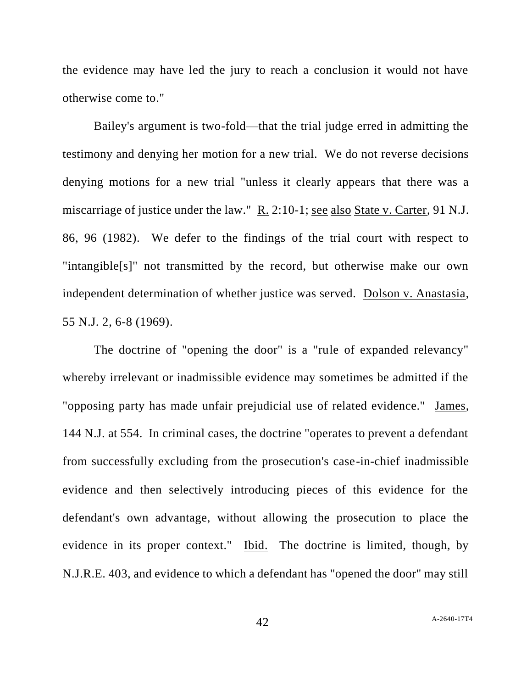the evidence may have led the jury to reach a conclusion it would not have otherwise come to."

Bailey's argument is two-fold—that the trial judge erred in admitting the testimony and denying her motion for a new trial. We do not reverse decisions denying motions for a new trial "unless it clearly appears that there was a miscarriage of justice under the law." R. 2:10-1; see also State v. Carter, 91 N.J. 86, 96 (1982). We defer to the findings of the trial court with respect to "intangible[s]" not transmitted by the record, but otherwise make our own independent determination of whether justice was served. Dolson v. Anastasia, 55 N.J. 2, 6-8 (1969).

The doctrine of "opening the door" is a "rule of expanded relevancy" whereby irrelevant or inadmissible evidence may sometimes be admitted if the "opposing party has made unfair prejudicial use of related evidence." James, 144 N.J. at 554. In criminal cases, the doctrine "operates to prevent a defendant from successfully excluding from the prosecution's case-in-chief inadmissible evidence and then selectively introducing pieces of this evidence for the defendant's own advantage, without allowing the prosecution to place the evidence in its proper context." Ibid. The doctrine is limited, though, by N.J.R.E. 403, and evidence to which a defendant has "opened the door" may still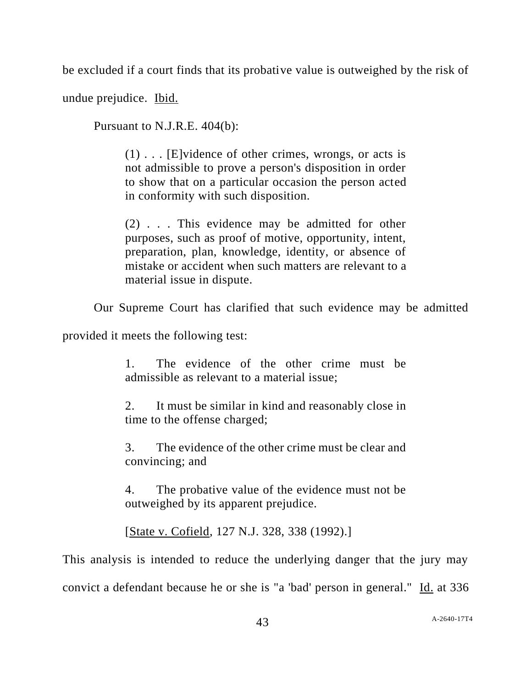be excluded if a court finds that its probative value is outweighed by the risk of

undue prejudice. Ibid.

Pursuant to N.J.R.E. 404(b):

(1) . . . [E]vidence of other crimes, wrongs, or acts is not admissible to prove a person's disposition in order to show that on a particular occasion the person acted in conformity with such disposition.

(2) . . . This evidence may be admitted for other purposes, such as proof of motive, opportunity, intent, preparation, plan, knowledge, identity, or absence of mistake or accident when such matters are relevant to a material issue in dispute.

Our Supreme Court has clarified that such evidence may be admitted

provided it meets the following test:

1. The evidence of the other crime must be admissible as relevant to a material issue;

2. It must be similar in kind and reasonably close in time to the offense charged;

3. The evidence of the other crime must be clear and convincing; and

4. The probative value of the evidence must not be outweighed by its apparent prejudice.

[State v. Cofield, 127 N.J. 328, 338 (1992).]

This analysis is intended to reduce the underlying danger that the jury may convict a defendant because he or she is "a 'bad' person in general." Id. at 336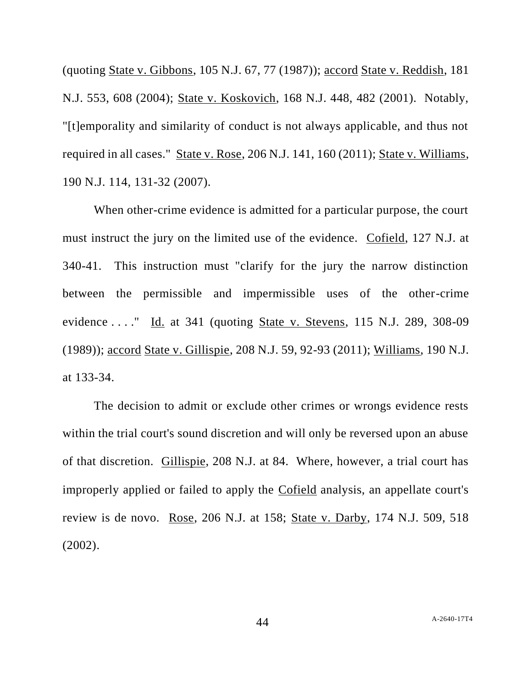(quoting State v. Gibbons, 105 N.J. 67, 77 (1987)); accord State v. Reddish, 181 N.J. 553, 608 (2004); State v. Koskovich, 168 N.J. 448, 482 (2001). Notably, "[t]emporality and similarity of conduct is not always applicable, and thus not required in all cases." State v. Rose, 206 N.J. 141, 160 (2011); State v. Williams, 190 N.J. 114, 131-32 (2007).

When other-crime evidence is admitted for a particular purpose, the court must instruct the jury on the limited use of the evidence. Cofield, 127 N.J. at 340-41. This instruction must "clarify for the jury the narrow distinction between the permissible and impermissible uses of the other-crime evidence . . . ." Id. at 341 (quoting State v. Stevens, 115 N.J. 289, 308-09 (1989)); accord State v. Gillispie, 208 N.J. 59, 92-93 (2011); Williams, 190 N.J. at 133-34.

The decision to admit or exclude other crimes or wrongs evidence rests within the trial court's sound discretion and will only be reversed upon an abuse of that discretion. Gillispie, 208 N.J. at 84. Where, however, a trial court has improperly applied or failed to apply the Cofield analysis, an appellate court's review is de novo. Rose, 206 N.J. at 158; State v. Darby, 174 N.J. 509, 518 (2002).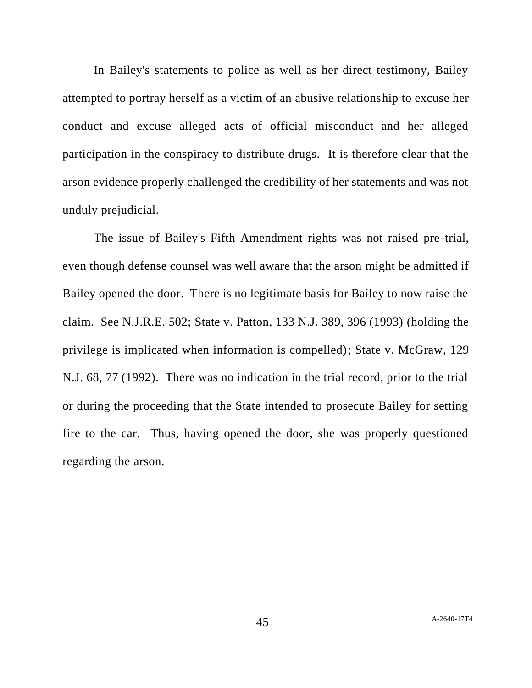In Bailey's statements to police as well as her direct testimony, Bailey attempted to portray herself as a victim of an abusive relationship to excuse her conduct and excuse alleged acts of official misconduct and her alleged participation in the conspiracy to distribute drugs. It is therefore clear that the arson evidence properly challenged the credibility of her statements and was not unduly prejudicial.

The issue of Bailey's Fifth Amendment rights was not raised pre-trial, even though defense counsel was well aware that the arson might be admitted if Bailey opened the door. There is no legitimate basis for Bailey to now raise the claim. See N.J.R.E. 502; State v. Patton, 133 N.J. 389, 396 (1993) (holding the privilege is implicated when information is compelled); State v. McGraw, 129 N.J. 68, 77 (1992). There was no indication in the trial record, prior to the trial or during the proceeding that the State intended to prosecute Bailey for setting fire to the car. Thus, having opened the door, she was properly questioned regarding the arson.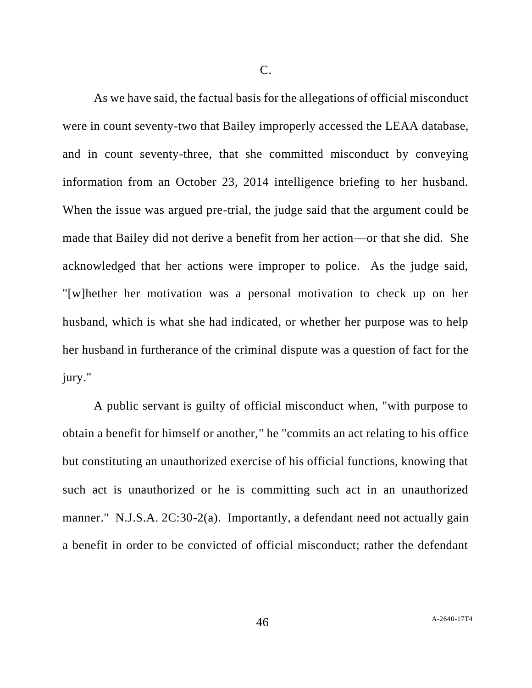C.

As we have said, the factual basis for the allegations of official misconduct were in count seventy-two that Bailey improperly accessed the LEAA database, and in count seventy-three, that she committed misconduct by conveying information from an October 23, 2014 intelligence briefing to her husband. When the issue was argued pre-trial, the judge said that the argument could be made that Bailey did not derive a benefit from her action—or that she did. She acknowledged that her actions were improper to police. As the judge said, "[w]hether her motivation was a personal motivation to check up on her husband, which is what she had indicated, or whether her purpose was to help her husband in furtherance of the criminal dispute was a question of fact for the jury."

A public servant is guilty of official misconduct when, "with purpose to obtain a benefit for himself or another," he "commits an act relating to his office but constituting an unauthorized exercise of his official functions, knowing that such act is unauthorized or he is committing such act in an unauthorized manner." N.J.S.A. 2C:30-2(a). Importantly, a defendant need not actually gain a benefit in order to be convicted of official misconduct; rather the defendant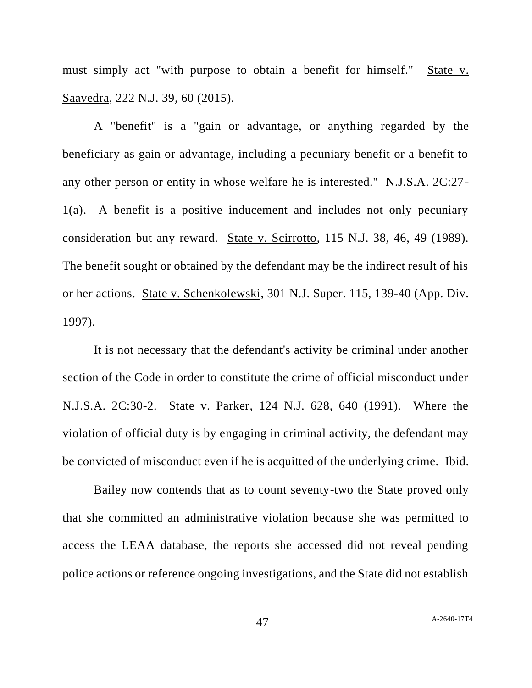must simply act "with purpose to obtain a benefit for himself." State v. Saavedra, 222 N.J. 39, 60 (2015).

A "benefit" is a "gain or advantage, or anything regarded by the beneficiary as gain or advantage, including a pecuniary benefit or a benefit to any other person or entity in whose welfare he is interested." N.J.S.A. 2C:27- 1(a). A benefit is a positive inducement and includes not only pecuniary consideration but any reward. State v. Scirrotto, 115 N.J. 38, 46, 49 (1989). The benefit sought or obtained by the defendant may be the indirect result of his or her actions. State v. Schenkolewski, 301 N.J. Super. 115, 139-40 (App. Div. 1997).

It is not necessary that the defendant's activity be criminal under another section of the Code in order to constitute the crime of official misconduct under N.J.S.A. 2C:30-2. State v. Parker, 124 N.J. 628, 640 (1991). Where the violation of official duty is by engaging in criminal activity, the defendant may be convicted of misconduct even if he is acquitted of the underlying crime. Ibid.

Bailey now contends that as to count seventy-two the State proved only that she committed an administrative violation because she was permitted to access the LEAA database, the reports she accessed did not reveal pending police actions or reference ongoing investigations, and the State did not establish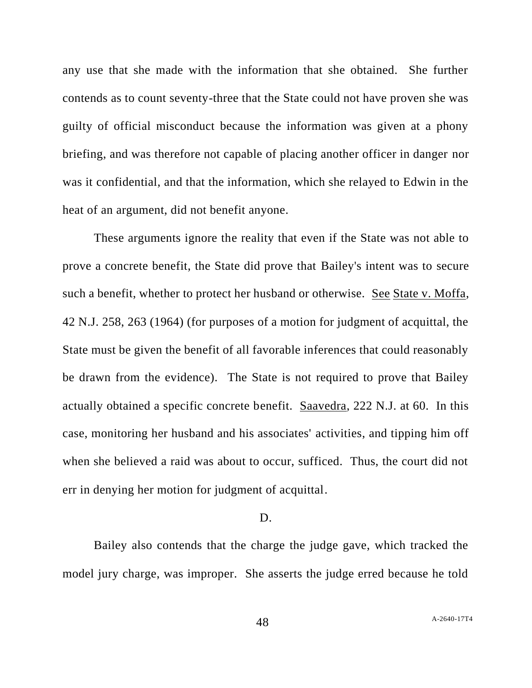any use that she made with the information that she obtained. She further contends as to count seventy-three that the State could not have proven she was guilty of official misconduct because the information was given at a phony briefing, and was therefore not capable of placing another officer in danger nor was it confidential, and that the information, which she relayed to Edwin in the heat of an argument, did not benefit anyone.

These arguments ignore the reality that even if the State was not able to prove a concrete benefit, the State did prove that Bailey's intent was to secure such a benefit, whether to protect her husband or otherwise. See State v. Moffa, 42 N.J. 258, 263 (1964) (for purposes of a motion for judgment of acquittal, the State must be given the benefit of all favorable inferences that could reasonably be drawn from the evidence). The State is not required to prove that Bailey actually obtained a specific concrete benefit. Saavedra, 222 N.J. at 60. In this case, monitoring her husband and his associates' activities, and tipping him off when she believed a raid was about to occur, sufficed. Thus, the court did not err in denying her motion for judgment of acquittal.

### D.

Bailey also contends that the charge the judge gave, which tracked the model jury charge, was improper. She asserts the judge erred because he told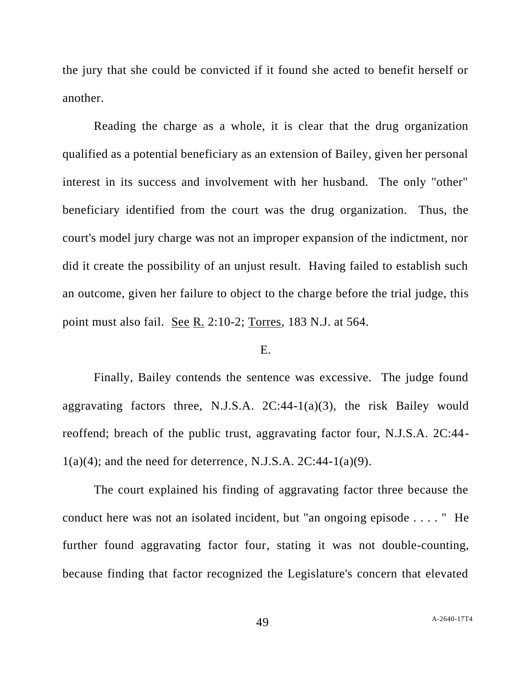the jury that she could be convicted if it found she acted to benefit herself or another.

Reading the charge as a whole, it is clear that the drug organization qualified as a potential beneficiary as an extension of Bailey, given her personal interest in its success and involvement with her husband. The only "other" beneficiary identified from the court was the drug organization. Thus, the court's model jury charge was not an improper expansion of the indictment, nor did it create the possibility of an unjust result. Having failed to establish such an outcome, given her failure to object to the charge before the trial judge, this point must also fail. See R. 2:10-2; Torres, 183 N.J. at 564.

#### E.

Finally, Bailey contends the sentence was excessive. The judge found aggravating factors three, N.J.S.A.  $2C:44-1(a)(3)$ , the risk Bailey would reoffend; breach of the public trust, aggravating factor four, N.J.S.A. 2C:44-  $1(a)(4)$ ; and the need for deterrence, N.J.S.A.  $2C:44-1(a)(9)$ .

The court explained his finding of aggravating factor three because the conduct here was not an isolated incident, but "an ongoing episode . . . . " He further found aggravating factor four, stating it was not double-counting, because finding that factor recognized the Legislature's concern that elevated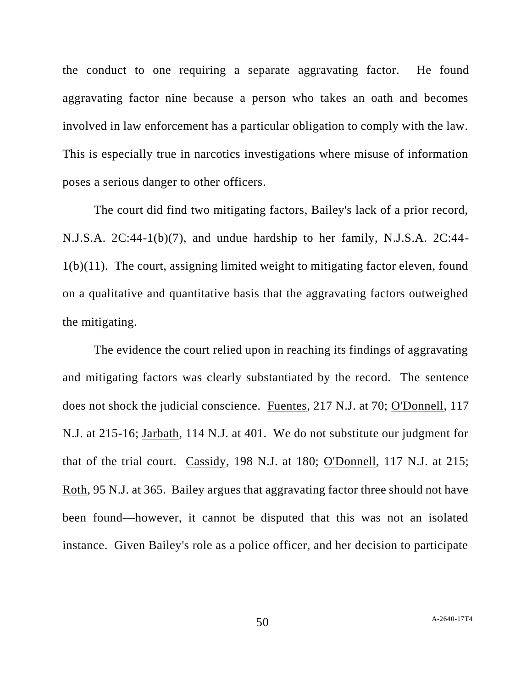the conduct to one requiring a separate aggravating factor. He found aggravating factor nine because a person who takes an oath and becomes involved in law enforcement has a particular obligation to comply with the law. This is especially true in narcotics investigations where misuse of information poses a serious danger to other officers.

The court did find two mitigating factors, Bailey's lack of a prior record, N.J.S.A. 2C:44-1(b)(7), and undue hardship to her family, N.J.S.A. 2C:44- 1(b)(11). The court, assigning limited weight to mitigating factor eleven, found on a qualitative and quantitative basis that the aggravating factors outweighed the mitigating.

The evidence the court relied upon in reaching its findings of aggravating and mitigating factors was clearly substantiated by the record. The sentence does not shock the judicial conscience. Fuentes, 217 N.J. at 70; O'Donnell, 117 N.J. at 215-16; Jarbath, 114 N.J. at 401. We do not substitute our judgment for that of the trial court. Cassidy, 198 N.J. at 180; O'Donnell, 117 N.J. at 215; Roth, 95 N.J. at 365. Bailey argues that aggravating factor three should not have been found—however, it cannot be disputed that this was not an isolated instance. Given Bailey's role as a police officer, and her decision to participate